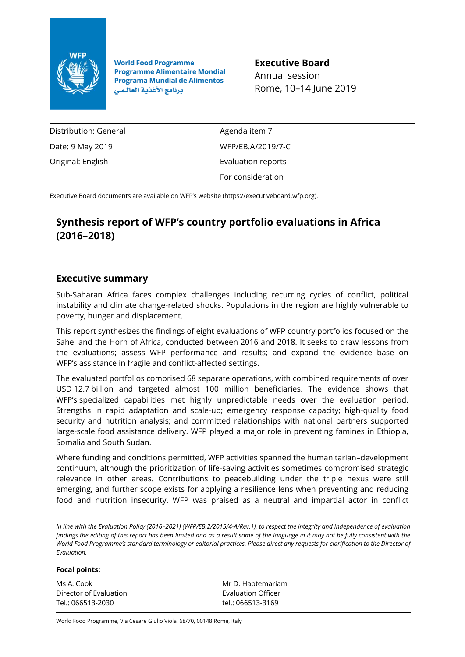

**World Food Programme Programme Alimentaire Mondial Programa Mundial de Alimentos** برنامج الأغذية العالمي

**Executive Board** Annual session Rome, 10–14 June 2019

Distribution: General Date: 9 May 2019 Original: English

Agenda item 7 WFP/EB.A/2019/7-C Evaluation reports For consideration

Executive Board documents are available on WFP's website [\(https://executiveboard.wfp.org\)](https://executiveboard.wfp.org/).

# **Synthesis report of WFP's country portfolio evaluations in Africa (2016–2018)**

# **Executive summary**

Sub-Saharan Africa faces complex challenges including recurring cycles of conflict, political instability and climate change-related shocks. Populations in the region are highly vulnerable to poverty, hunger and displacement.

This report synthesizes the findings of eight evaluations of WFP country portfolios focused on the Sahel and the Horn of Africa, conducted between 2016 and 2018. It seeks to draw lessons from the evaluations; assess WFP performance and results; and expand the evidence base on WFP's assistance in fragile and conflict-affected settings.

The evaluated portfolios comprised 68 separate operations, with combined requirements of over USD 12.7 billion and targeted almost 100 million beneficiaries. The evidence shows that WFP's specialized capabilities met highly unpredictable needs over the evaluation period. Strengths in rapid adaptation and scale-up; emergency response capacity; high-quality food security and nutrition analysis; and committed relationships with national partners supported large-scale food assistance delivery. WFP played a major role in preventing famines in Ethiopia, Somalia and South Sudan.

Where funding and conditions permitted, WFP activities spanned the humanitarian–development continuum, although the prioritization of life-saving activities sometimes compromised strategic relevance in other areas. Contributions to peacebuilding under the triple nexus were still emerging, and further scope exists for applying a resilience lens when preventing and reducing food and nutrition insecurity. WFP was praised as a neutral and impartial actor in conflict

*In line with the Evaluation Policy (2016–2021) (WFP/EB.2/2015/4-A/Rev.1), to respect the integrity and independence of evaluation findings the editing of this report has been limited and as a result some of the language in it may not be fully consistent with the World Food Programme's standard terminology or editorial practices. Please direct any requests for clarification to the Director of Evaluation.*

#### **Focal points:**

Ms A. Cook Director of Evaluation Tel.: 066513-2030

Mr D. Habtemariam Evaluation Officer tel.: 066513-3169

World Food Programme, Via Cesare Giulio Viola, 68/70, 00148 Rome, Italy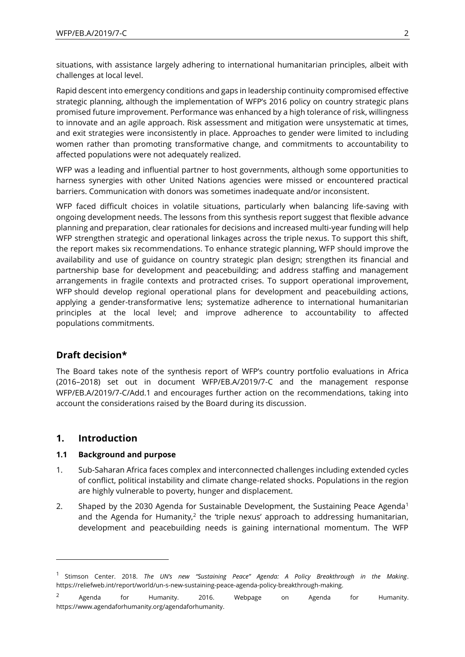situations, with assistance largely adhering to international humanitarian principles, albeit with challenges at local level.

Rapid descent into emergency conditions and gaps in leadership continuity compromised effective strategic planning, although the implementation of WFP's 2016 policy on country strategic plans promised future improvement. Performance was enhanced by a high tolerance of risk, willingness to innovate and an agile approach. Risk assessment and mitigation were unsystematic at times, and exit strategies were inconsistently in place. Approaches to gender were limited to including women rather than promoting transformative change, and commitments to accountability to affected populations were not adequately realized.

WFP was a leading and influential partner to host governments, although some opportunities to harness synergies with other United Nations agencies were missed or encountered practical barriers. Communication with donors was sometimes inadequate and/or inconsistent.

WFP faced difficult choices in volatile situations, particularly when balancing life-saving with ongoing development needs. The lessons from this synthesis report suggest that flexible advance planning and preparation, clear rationales for decisions and increased multi-year funding will help WFP strengthen strategic and operational linkages across the triple nexus. To support this shift, the report makes six recommendations. To enhance strategic planning, WFP should improve the availability and use of guidance on country strategic plan design; strengthen its financial and partnership base for development and peacebuilding; and address staffing and management arrangements in fragile contexts and protracted crises. To support operational improvement, WFP should develop regional operational plans for development and peacebuilding actions, applying a gender-transformative lens; systematize adherence to international humanitarian principles at the local level; and improve adherence to accountability to affected populations commitments.

# **Draft decision\***

The Board takes note of the synthesis report of WFP's country portfolio evaluations in Africa (2016–2018) set out in document WFP/EB.A/2019/7-C and the management response WFP/EB.A/2019/7-C/Add.1 and encourages further action on the recommendations, taking into account the considerations raised by the Board during its discussion.

# **1. Introduction**

 $\overline{a}$ 

# **1.1 Background and purpose**

- 1. Sub-Saharan Africa faces complex and interconnected challenges including extended cycles of conflict, political instability and climate change-related shocks. Populations in the region are highly vulnerable to poverty, hunger and displacement.
- 2. Shaped by the 2030 Agenda for Sustainable Development, the Sustaining Peace Agenda<sup>1</sup> and the Agenda for Humanity, $2$  the 'triple nexus' approach to addressing humanitarian, development and peacebuilding needs is gaining international momentum. The WFP

<sup>1</sup> Stimson Center. 2018. *The UN's new "Sustaining Peace" Agenda: A Policy Breakthrough in the Making*. [https://reliefweb.int/report/world/un-s-new-sustaining-peace-agenda-policy-breakthrough-making.](https://reliefweb.int/report/world/un-s-new-sustaining-peace-agenda-policy-breakthrough-making) 

 $2$  Agenda for Humanity. 2016. Webpage on Agenda for Humanity. [https://www.agendaforhumanity.org/agendaforhumanity.](https://www.agendaforhumanity.org/agendaforhumanity)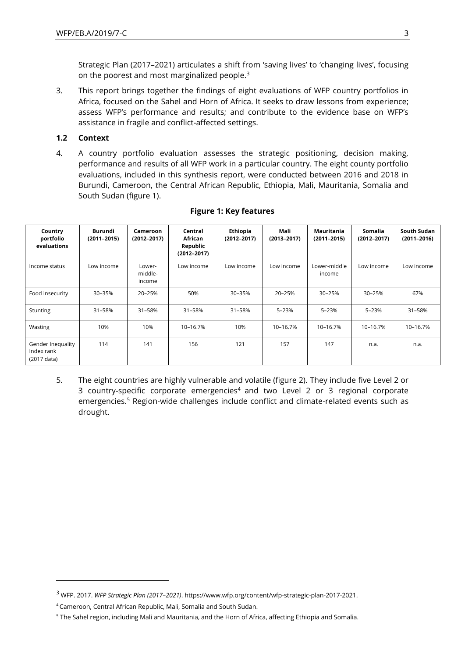Strategic Plan (2017–2021) articulates a shift from 'saving lives' to 'changing lives', focusing on the poorest and most marginalized people.<sup>3</sup>

3. This report brings together the findings of eight evaluations of WFP country portfolios in Africa, focused on the Sahel and Horn of Africa. It seeks to draw lessons from experience; assess WFP's performance and results; and contribute to the evidence base on WFP's assistance in fragile and conflict-affected settings.

### **1.2 Context**

4. A country portfolio evaluation assesses the strategic positioning, decision making, performance and results of all WFP work in a particular country. The eight county portfolio evaluations, included in this synthesis report, were conducted between 2016 and 2018 in Burundi, Cameroon, the Central African Republic, Ethiopia, Mali, Mauritania, Somalia and South Sudan (figure 1).

| Country<br>portfolio<br>evaluations            | Burundi<br>$(2011 - 2015)$ | Cameroon<br>$(2012 - 2017)$ | Central<br>African<br>Republic<br>$(2012 - 2017)$ | Ethiopia<br>$(2012 - 2017)$ | Mali<br>$(2013 - 2017)$ | Mauritania<br>$(2011 - 2015)$ | <b>Somalia</b><br>$(2012 - 2017)$ | South Sudan<br>$(2011 - 2016)$ |
|------------------------------------------------|----------------------------|-----------------------------|---------------------------------------------------|-----------------------------|-------------------------|-------------------------------|-----------------------------------|--------------------------------|
| Income status                                  | Low income                 | Lower-<br>middle-<br>income | Low income                                        | Low income                  | Low income              | Lower-middle<br>income        | Low income                        | Low income                     |
| Food insecurity                                | 30-35%                     | 20-25%                      | 50%                                               | 30-35%                      | 20-25%                  | 30-25%                        | 30-25%                            | 67%                            |
| <b>Stunting</b>                                | 31-58%                     | 31-58%                      | 31-58%                                            | 31-58%                      | 5-23%                   | $5 - 23%$                     | 5-23%                             | 31-58%                         |
| Wasting                                        | 10%                        | 10%                         | 10-16.7%                                          | 10%                         | 10-16.7%                | 10-16.7%                      | 10-16.7%                          | 10-16.7%                       |
| Gender Inequality<br>Index rank<br>(2017 data) | 114                        | 141                         | 156                                               | 121                         | 157                     | 147                           | n.a.                              | n.a.                           |

# **Figure 1: Key features**

5. The eight countries are highly vulnerable and volatile (figure 2). They include five Level 2 or 3 country-specific corporate emergencies<sup>4</sup> and two Level 2 or 3 regional corporate emergencies.<sup>5</sup> Region-wide challenges include conflict and climate-related events such as drought.

<sup>3</sup> WFP. 2017. *WFP Strategic Plan (2017–2021)*[. https://www.wfp.org/content/wfp-strategic-plan-2017-2021.](https://www.wfp.org/content/wfp-strategic-plan-2017-2021)

<sup>4</sup> Cameroon, Central African Republic, Mali, Somalia and South Sudan.

<sup>5</sup> The Sahel region, including Mali and Mauritania, and the Horn of Africa, affecting Ethiopia and Somalia.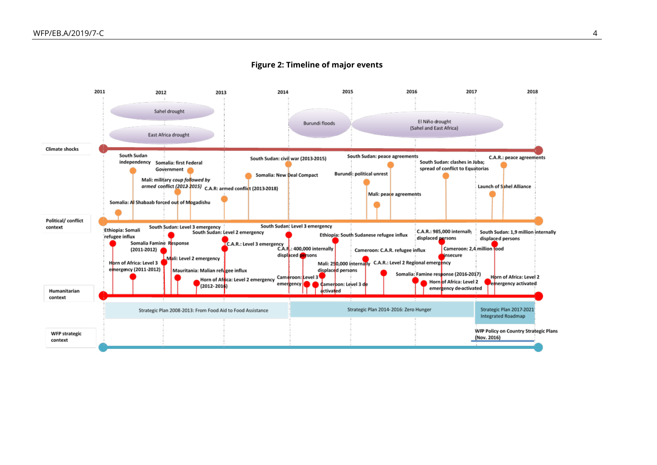

#### **Figure 2: Timeline of major events**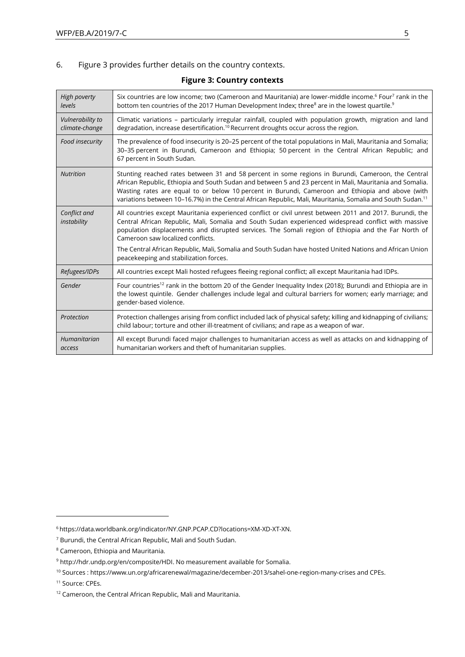### 6. Figure 3 provides further details on the country contexts.

| High poverty<br>levels             | Six countries are low income; two (Cameroon and Mauritania) are lower-middle income. <sup>6</sup> Four <sup>7</sup> rank in the<br>bottom ten countries of the 2017 Human Development Index; three <sup>8</sup> are in the lowest quartile. <sup>9</sup>                                                                                                                                                                                     |
|------------------------------------|----------------------------------------------------------------------------------------------------------------------------------------------------------------------------------------------------------------------------------------------------------------------------------------------------------------------------------------------------------------------------------------------------------------------------------------------|
| Vulnerability to<br>climate-change | Climatic variations - particularly irregular rainfall, coupled with population growth, migration and land<br>degradation, increase desertification. <sup>10</sup> Recurrent droughts occur across the region.                                                                                                                                                                                                                                |
| Food insecurity                    | The prevalence of food insecurity is 20-25 percent of the total populations in Mali, Mauritania and Somalia;<br>30-35 percent in Burundi, Cameroon and Ethiopia; 50 percent in the Central African Republic; and<br>67 percent in South Sudan.                                                                                                                                                                                               |
| <b>Nutrition</b>                   | Stunting reached rates between 31 and 58 percent in some regions in Burundi, Cameroon, the Central<br>African Republic, Ethiopia and South Sudan and between 5 and 23 percent in Mali, Mauritania and Somalia.<br>Wasting rates are equal to or below 10 percent in Burundi, Cameroon and Ethiopia and above (with<br>variations between 10-16.7%) in the Central African Republic, Mali, Mauritania, Somalia and South Sudan. <sup>11</sup> |
| Conflict and<br>instability        | All countries except Mauritania experienced conflict or civil unrest between 2011 and 2017. Burundi, the<br>Central African Republic, Mali, Somalia and South Sudan experienced widespread conflict with massive<br>population displacements and disrupted services. The Somali region of Ethiopia and the Far North of<br>Cameroon saw localized conflicts.                                                                                 |
|                                    | The Central African Republic, Mali, Somalia and South Sudan have hosted United Nations and African Union<br>peacekeeping and stabilization forces.                                                                                                                                                                                                                                                                                           |
| Refugees/IDPs                      | All countries except Mali hosted refugees fleeing regional conflict; all except Mauritania had IDPs.                                                                                                                                                                                                                                                                                                                                         |
| Gender                             | Four countries <sup>12</sup> rank in the bottom 20 of the Gender Inequality Index (2018); Burundi and Ethiopia are in<br>the lowest quintile. Gender challenges include legal and cultural barriers for women; early marriage; and<br>gender-based violence.                                                                                                                                                                                 |
| Protection                         | Protection challenges arising from conflict included lack of physical safety; killing and kidnapping of civilians;<br>child labour; torture and other ill-treatment of civilians; and rape as a weapon of war.                                                                                                                                                                                                                               |
| Humanitarian<br>access             | All except Burundi faced major challenges to humanitarian access as well as attacks on and kidnapping of<br>humanitarian workers and theft of humanitarian supplies.                                                                                                                                                                                                                                                                         |

### **Figure 3: Country contexts**

<sup>6</sup> [https://data.worldbank.org/indicator/NY.GNP.PCAP.CD?locations=XM-XD-XT-XN.](https://data.worldbank.org/indicator/NY.GNP.PCAP.CD?locations=XM-XD-XT-XN)

<sup>7</sup> Burundi, the Central African Republic, Mali and South Sudan.

<sup>8</sup> Cameroon, Ethiopia and Mauritania.

<sup>9</sup> [http://hdr.undp.org/en/composite/HDI.](http://hdr.undp.org/en/composite/HDI) No measurement available for Somalia.

<sup>10</sup> Sources [: https://www.un.org/africarenewal/magazine/december-2013/sahel-one-region-many-crises](https://www.un.org/africarenewal/magazine/december-2013/sahel-one-region-many-crises) and CPEs.

<sup>&</sup>lt;sup>11</sup> Source: CPEs.

<sup>&</sup>lt;sup>12</sup> Cameroon, the Central African Republic, Mali and Mauritania.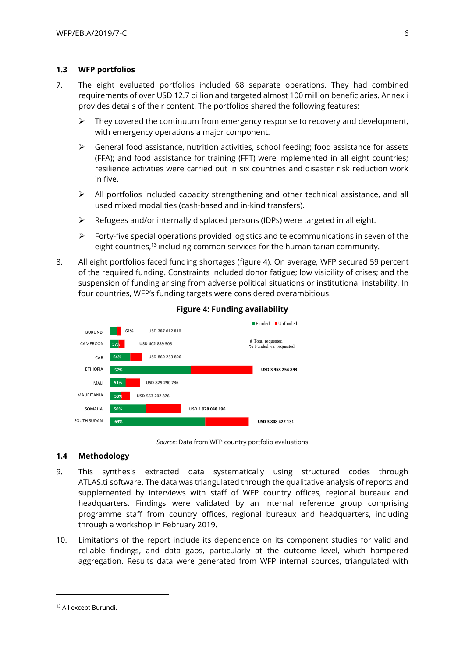### **1.3 WFP portfolios**

- 7. The eight evaluated portfolios included 68 separate operations. They had combined requirements of over USD 12.7 billion and targeted almost 100 million beneficiaries. Annex i provides details of their content. The portfolios shared the following features:
	- $\triangleright$  They covered the continuum from emergency response to recovery and development, with emergency operations a major component.
	- ➢ General food assistance, nutrition activities, school feeding; food assistance for assets (FFA); and food assistance for training (FFT) were implemented in all eight countries; resilience activities were carried out in six countries and disaster risk reduction work in five.
	- $\triangleright$  All portfolios included capacity strengthening and other technical assistance, and all used mixed modalities (cash-based and in-kind transfers).
	- $\triangleright$  Refugees and/or internally displaced persons (IDPs) were targeted in all eight.
	- $\triangleright$  Forty-five special operations provided logistics and telecommunications in seven of the eight countries,<sup>13</sup> including common services for the humanitarian community.
- 8. All eight portfolios faced funding shortages (figure 4). On average, WFP secured 59 percent of the required funding. Constraints included donor fatigue; low visibility of crises; and the suspension of funding arising from adverse political situations or institutional instability. In four countries, WFP's funding targets were considered overambitious.



#### **Figure 4: Funding availability**

#### **1.4 Methodology**

- 9. This synthesis extracted data systematically using structured codes through ATLAS.ti software. The data was triangulated through the qualitative analysis of reports and supplemented by interviews with staff of WFP country offices, regional bureaux and headquarters. Findings were validated by an internal reference group comprising programme staff from country offices, regional bureaux and headquarters, including through a workshop in February 2019.
- 10. Limitations of the report include its dependence on its component studies for valid and reliable findings, and data gaps, particularly at the outcome level, which hampered aggregation. Results data were generated from WFP internal sources, triangulated with

*Source*: Data from WFP country portfolio evaluations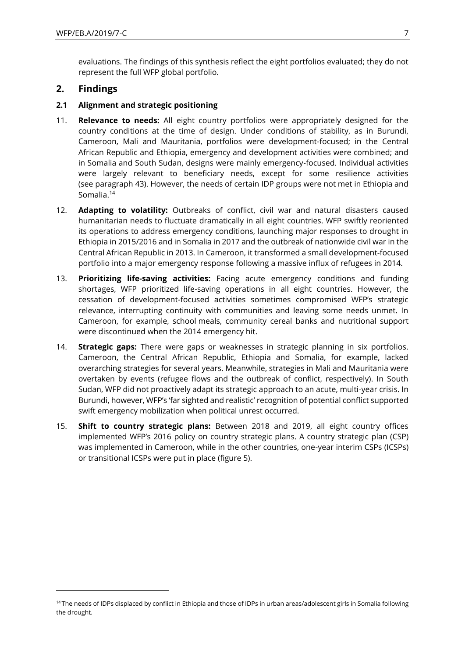evaluations. The findings of this synthesis reflect the eight portfolios evaluated; they do not represent the full WFP global portfolio.

# **2. Findings**

 $\overline{a}$ 

### **2.1 Alignment and strategic positioning**

- 11. **Relevance to needs:** All eight country portfolios were appropriately designed for the country conditions at the time of design. Under conditions of stability, as in Burundi, Cameroon, Mali and Mauritania, portfolios were development-focused; in the Central African Republic and Ethiopia, emergency and development activities were combined; and in Somalia and South Sudan, designs were mainly emergency-focused. Individual activities were largely relevant to beneficiary needs, except for some resilience activities (see paragraph 43). However, the needs of certain IDP groups were not met in Ethiopia and Somalia.<sup>14</sup>
- 12. **Adapting to volatility:** Outbreaks of conflict, civil war and natural disasters caused humanitarian needs to fluctuate dramatically in all eight countries. WFP swiftly reoriented its operations to address emergency conditions, launching major responses to drought in Ethiopia in 2015/2016 and in Somalia in 2017 and the outbreak of nationwide civil war in the Central African Republic in 2013. In Cameroon, it transformed a small development-focused portfolio into a major emergency response following a massive influx of refugees in 2014.
- 13. **Prioritizing life-saving activities:** Facing acute emergency conditions and funding shortages, WFP prioritized life-saving operations in all eight countries. However, the cessation of development-focused activities sometimes compromised WFP's strategic relevance, interrupting continuity with communities and leaving some needs unmet. In Cameroon, for example, school meals, community cereal banks and nutritional support were discontinued when the 2014 emergency hit.
- 14. **Strategic gaps:** There were gaps or weaknesses in strategic planning in six portfolios. Cameroon, the Central African Republic, Ethiopia and Somalia, for example, lacked overarching strategies for several years. Meanwhile, strategies in Mali and Mauritania were overtaken by events (refugee flows and the outbreak of conflict, respectively). In South Sudan, WFP did not proactively adapt its strategic approach to an acute, multi-year crisis. In Burundi, however, WFP's 'far sighted and realistic' recognition of potential conflict supported swift emergency mobilization when political unrest occurred.
- 15. **Shift to country strategic plans:** Between 2018 and 2019, all eight country offices implemented WFP's 2016 policy on country strategic plans. A country strategic plan (CSP) was implemented in Cameroon, while in the other countries, one-year interim CSPs (ICSPs) or transitional ICSPs were put in place (figure 5).

<sup>&</sup>lt;sup>14</sup> The needs of IDPs displaced by conflict in Ethiopia and those of IDPs in urban areas/adolescent girls in Somalia following the drought.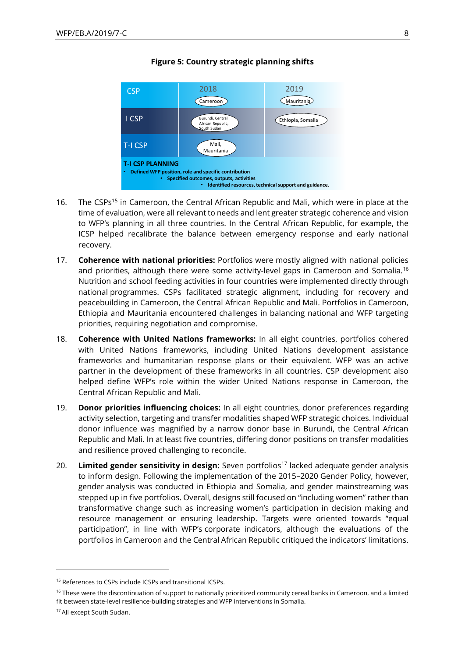

### **Figure 5: Country strategic planning shifts**

- 16. The CSPs<sup>15</sup> in Cameroon, the Central African Republic and Mali, which were in place at the time of evaluation, were all relevant to needs and lent greater strategic coherence and vision to WFP's planning in all three countries. In the Central African Republic, for example, the ICSP helped recalibrate the balance between emergency response and early national recovery.
- 17. **Coherence with national priorities:** Portfolios were mostly aligned with national policies and priorities, although there were some activity-level gaps in Cameroon and Somalia.<sup>16</sup> Nutrition and school feeding activities in four countries were implemented directly through national programmes. CSPs facilitated strategic alignment, including for recovery and peacebuilding in Cameroon, the Central African Republic and Mali. Portfolios in Cameroon, Ethiopia and Mauritania encountered challenges in balancing national and WFP targeting priorities, requiring negotiation and compromise.
- 18. **Coherence with United Nations frameworks:** In all eight countries, portfolios cohered with United Nations frameworks, including United Nations development assistance frameworks and humanitarian response plans or their equivalent. WFP was an active partner in the development of these frameworks in all countries. CSP development also helped define WFP's role within the wider United Nations response in Cameroon, the Central African Republic and Mali.
- 19. **Donor priorities influencing choices:** In all eight countries, donor preferences regarding activity selection, targeting and transfer modalities shaped WFP strategic choices. Individual donor influence was magnified by a narrow donor base in Burundi, the Central African Republic and Mali. In at least five countries, differing donor positions on transfer modalities and resilience proved challenging to reconcile.
- 20. **Limited gender sensitivity in design:** Seven portfolios<sup>17</sup> lacked adequate gender analysis to inform design. Following the implementation of the 2015–2020 Gender Policy, however, gender analysis was conducted in Ethiopia and Somalia, and gender mainstreaming was stepped up in five portfolios. Overall, designs still focused on "including women" rather than transformative change such as increasing women's participation in decision making and resource management or ensuring leadership. Targets were oriented towards "equal participation", in line with WFP's corporate indicators, although the evaluations of the portfolios in Cameroon and the Central African Republic critiqued the indicators' limitations. CSP<br>
11 CSP<br>
11 CSP<br>
11 CSP<br>
11 CSP<br>
11 CSP<br>
11 CSP<br>
11 CSP<br>
11 CSP<br>
11 CSP<br>
11 CSP<br>
11 CSP<br>
11 CSP<br>
12 Defined<br>
12 Definition<br>
12 ICSP<br>
12 Definition<br>
12 ICSP<br>
12 Definition<br>
12 ICSP<br>
12 Per South Sudan.<br>
13. Coherence wi

<sup>15</sup> References to CSPs include ICSPs and transitional ICSPs.

<sup>&</sup>lt;sup>16</sup> These were the discontinuation of support to nationally prioritized community cereal banks in Cameroon, and a limited fit between state-level resilience-building strategies and WFP interventions in Somalia.

<sup>&</sup>lt;sup>17</sup> All except South Sudan.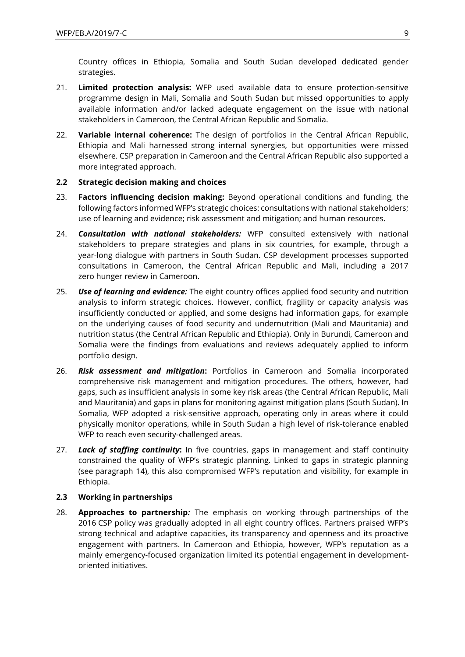Country offices in Ethiopia, Somalia and South Sudan developed dedicated gender strategies.

- 21. **Limited protection analysis:** WFP used available data to ensure protection-sensitive programme design in Mali, Somalia and South Sudan but missed opportunities to apply available information and/or lacked adequate engagement on the issue with national stakeholders in Cameroon, the Central African Republic and Somalia.
- 22. **Variable internal coherence:** The design of portfolios in the Central African Republic, Ethiopia and Mali harnessed strong internal synergies, but opportunities were missed elsewhere. CSP preparation in Cameroon and the Central African Republic also supported a more integrated approach.

### **2.2 Strategic decision making and choices**

- 23. **Factors influencing decision making:** Beyond operational conditions and funding, the following factors informed WFP's strategic choices: consultations with national stakeholders; use of learning and evidence; risk assessment and mitigation; and human resources.
- 24. *Consultation with national stakeholders:* WFP consulted extensively with national stakeholders to prepare strategies and plans in six countries, for example, through a year-long dialogue with partners in South Sudan. CSP development processes supported consultations in Cameroon, the Central African Republic and Mali, including a 2017 zero hunger review in Cameroon.
- 25. *Use of learning and evidence:* The eight country offices applied food security and nutrition analysis to inform strategic choices. However, conflict, fragility or capacity analysis was insufficiently conducted or applied, and some designs had information gaps, for example on the underlying causes of food security and undernutrition (Mali and Mauritania) and nutrition status (the Central African Republic and Ethiopia). Only in Burundi, Cameroon and Somalia were the findings from evaluations and reviews adequately applied to inform portfolio design.
- 26. *Risk assessment and mitigation***:** Portfolios in Cameroon and Somalia incorporated comprehensive risk management and mitigation procedures. The others, however, had gaps, such as insufficient analysis in some key risk areas (the Central African Republic, Mali and Mauritania) and gaps in plans for monitoring against mitigation plans (South Sudan). In Somalia, WFP adopted a risk-sensitive approach, operating only in areas where it could physically monitor operations, while in South Sudan a high level of risk-tolerance enabled WFP to reach even security-challenged areas.
- 27. *Lack of staffing continuity***:** In five countries, gaps in management and staff continuity constrained the quality of WFP's strategic planning. Linked to gaps in strategic planning (see paragraph 14), this also compromised WFP's reputation and visibility, for example in Ethiopia.

#### **2.3 Working in partnerships**

28. **Approaches to partnership***:* The emphasis on working through partnerships of the 2016 CSP policy was gradually adopted in all eight country offices. Partners praised WFP's strong technical and adaptive capacities, its transparency and openness and its proactive engagement with partners. In Cameroon and Ethiopia, however, WFP's reputation as a mainly emergency-focused organization limited its potential engagement in developmentoriented initiatives.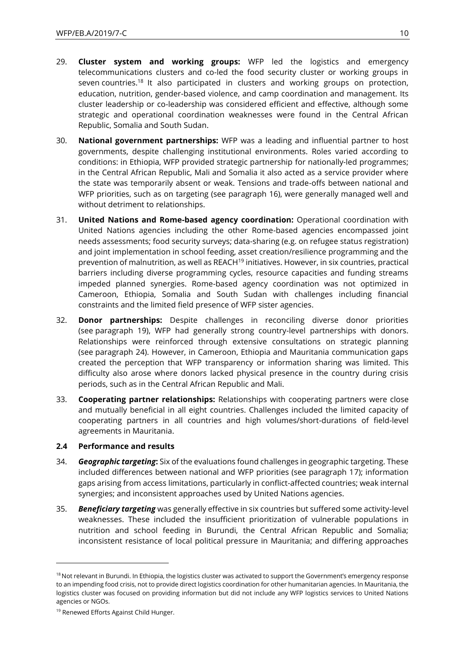- 29. **Cluster system and working groups:** WFP led the logistics and emergency telecommunications clusters and co-led the food security cluster or working groups in seven countries.<sup>18</sup> It also participated in clusters and working groups on protection, education, nutrition, gender-based violence, and camp coordination and management. Its cluster leadership or co-leadership was considered efficient and effective, although some strategic and operational coordination weaknesses were found in the Central African Republic, Somalia and South Sudan.
- 30. **National government partnerships:** WFP was a leading and influential partner to host governments, despite challenging institutional environments. Roles varied according to conditions: in Ethiopia, WFP provided strategic partnership for nationally-led programmes; in the Central African Republic, Mali and Somalia it also acted as a service provider where the state was temporarily absent or weak. Tensions and trade-offs between national and WFP priorities, such as on targeting (see paragraph 16), were generally managed well and without detriment to relationships.
- 31. **United Nations and Rome-based agency coordination:** Operational coordination with United Nations agencies including the other Rome-based agencies encompassed joint needs assessments; food security surveys; data-sharing (e.g. on refugee status registration) and joint implementation in school feeding, asset creation/resilience programming and the prevention of malnutrition, as well as REACH<sup>19</sup> initiatives. However, in six countries, practical barriers including diverse programming cycles, resource capacities and funding streams impeded planned synergies. Rome-based agency coordination was not optimized in Cameroon, Ethiopia, Somalia and South Sudan with challenges including financial constraints and the limited field presence of WFP sister agencies.
- 32. **Donor partnerships:** Despite challenges in reconciling diverse donor priorities (see paragraph 19), WFP had generally strong country-level partnerships with donors. Relationships were reinforced through extensive consultations on strategic planning (see paragraph 24). However, in Cameroon, Ethiopia and Mauritania communication gaps created the perception that WFP transparency or information sharing was limited. This difficulty also arose where donors lacked physical presence in the country during crisis periods, such as in the Central African Republic and Mali.
- 33. **Cooperating partner relationships:** Relationships with cooperating partners were close and mutually beneficial in all eight countries. Challenges included the limited capacity of cooperating partners in all countries and high volumes/short-durations of field-level agreements in Mauritania.

#### **2.4 Performance and results**

- 34. *Geographic targeting***:** Six of the evaluations found challenges in geographic targeting. These included differences between national and WFP priorities (see paragraph 17); information gaps arising from access limitations, particularly in conflict-affected countries; weak internal synergies; and inconsistent approaches used by United Nations agencies.
- 35. *Beneficiary targeting* was generally effective in six countries but suffered some activity-level weaknesses. These included the insufficient prioritization of vulnerable populations in nutrition and school feeding in Burundi, the Central African Republic and Somalia; inconsistent resistance of local political pressure in Mauritania; and differing approaches

<sup>&</sup>lt;sup>18</sup> Not relevant in Burundi. In Ethiopia, the logistics cluster was activated to support the Government's emergency response to an impending food crisis, not to provide direct logistics coordination for other humanitarian agencies. In Mauritania, the logistics cluster was focused on providing information but did not include any WFP logistics services to United Nations agencies or NGOs.

<sup>&</sup>lt;sup>19</sup> Renewed Efforts Against Child Hunger.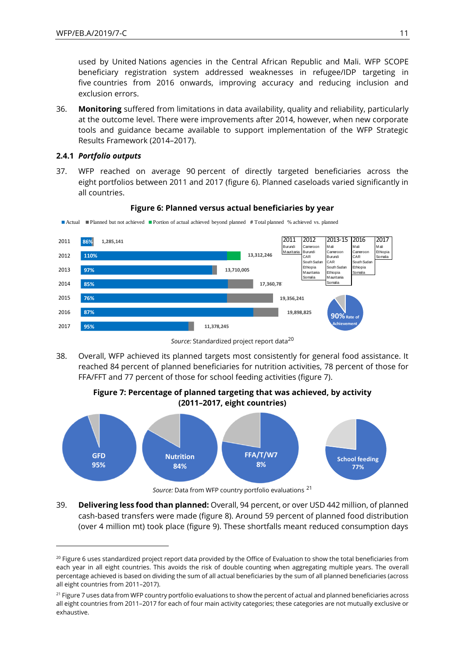used by United Nations agencies in the Central African Republic and Mali. WFP SCOPE beneficiary registration system addressed weaknesses in refugee/IDP targeting in five countries from 2016 onwards, improving accuracy and reducing inclusion and exclusion errors.

36. **Monitoring** suffered from limitations in data availability, quality and reliability, particularly at the outcome level. There were improvements after 2014, however, when new corporate tools and guidance became available to support implementation of the WFP Strategic Results Framework (2014–2017).

### **2.4.1** *Portfolio outputs*

 $\overline{a}$ 

37. WFP reached on average 90 percent of directly targeted beneficiaries across the eight portfolios between 2011 and 2017 (figure 6). Planned caseloads varied significantly in all countries.



**Figure 6: Planned versus actual beneficiaries by year**

Actual Planned but not achieved Portion of actual achieved beyond planned **#** Total planned % achieved vs. planned

38. Overall, WFP achieved its planned targets most consistently for general food assistance. It reached 84 percent of planned beneficiaries for nutrition activities, 78 percent of those for FFA/FFT and 77 percent of those for school feeding activities (figure 7).

**Figure 7: Percentage of planned targeting that was achieved, by activity (2011–2017, eight countries)**



*Source:* Data from WFP country portfolio evaluations <sup>21</sup>

39. **Delivering less food than planned:** Overall, 94 percent, or over USD 442 million, of planned cash-based transfers were made (figure 8). Around 59 percent of planned food distribution (over 4 million mt) took place (figure 9). These shortfalls meant reduced consumption days

Source: Standardized project report data<sup>20</sup>

<sup>&</sup>lt;sup>20</sup> Figure 6 uses standardized project report data provided by the Office of Evaluation to show the total beneficiaries from each year in all eight countries. This avoids the risk of double counting when aggregating multiple years. The overall percentage achieved is based on dividing the sum of all actual beneficiaries by the sum of all planned beneficiaries (across all eight countries from 2011–2017).

<sup>&</sup>lt;sup>21</sup> Figure 7 uses data from WFP country portfolio evaluations to show the percent of actual and planned beneficiaries across all eight countries from 2011–2017 for each of four main activity categories; these categories are not mutually exclusive or exhaustive.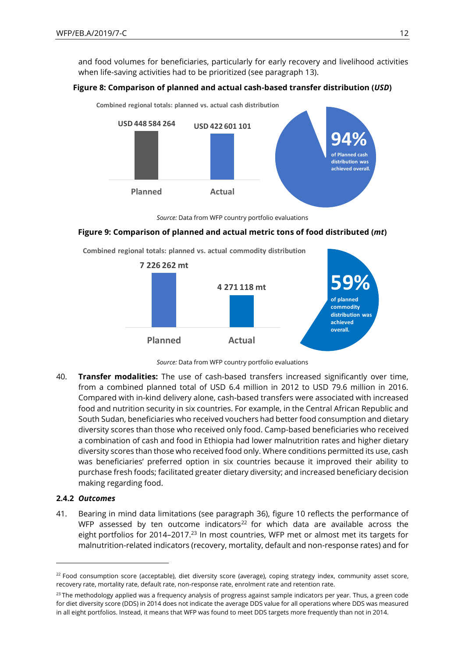and food volumes for beneficiaries, particularly for early recovery and livelihood activities when life-saving activities had to be prioritized (see paragraph 13).

### **Figure 8: Comparison of planned and actual cash-based transfer distribution (***USD***)**



*Source:* Data from WFP country portfolio evaluations

#### **Figure 9: Comparison of planned and actual metric tons of food distributed (***mt***)**

**Combined regional totals: planned vs. actual commodity distribution**





40. **Transfer modalities:** The use of cash-based transfers increased significantly over time, from a combined planned total of USD 6.4 million in 2012 to USD 79.6 million in 2016. Compared with in-kind delivery alone, cash-based transfers were associated with increased food and nutrition security in six countries. For example, in the Central African Republic and South Sudan, beneficiaries who received vouchers had better food consumption and dietary diversity scores than those who received only food. Camp-based beneficiaries who received a combination of cash and food in Ethiopia had lower malnutrition rates and higher dietary diversity scores than those who received food only. Where conditions permitted its use, cash was beneficiaries' preferred option in six countries because it improved their ability to purchase fresh foods; facilitated greater dietary diversity; and increased beneficiary decision making regarding food. in all eight portfolios. Instead, it means that WFP was found to mean the portfolio solution of the means that WFP was found to mean the star of the mean of the mean of the mean of the mean of the mean of the means that w

### **2.4.2** *Outcomes*

 $\overline{a}$ 

41. Bearing in mind data limitations (see paragraph 36), figure 10 reflects the performance of WFP assessed by ten outcome indicators $22$  for which data are available across the eight portfolios for 2014-2017.<sup>23</sup> In most countries, WFP met or almost met its targets for malnutrition-related indicators (recovery, mortality, default and non-response rates) and for

 $22$  Food consumption score (acceptable), diet diversity score (average), coping strategy index, community asset score, recovery rate, mortality rate, default rate, non-response rate, enrolment rate and retention rate.

<sup>&</sup>lt;sup>23</sup> The methodology applied was a frequency analysis of progress against sample indicators per year. Thus, a green code for diet diversity score (DDS) in 2014 does not indicate the average DDS value for all operations where DDS was measured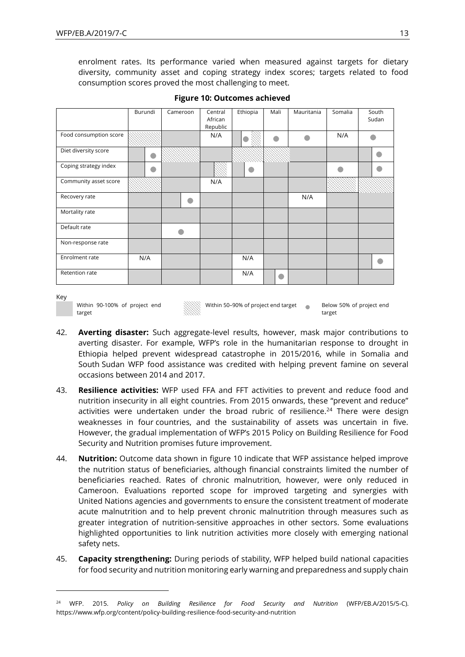enrolment rates. Its performance varied when measured against targets for dietary diversity, community asset and coping strategy index scores; targets related to food consumption scores proved the most challenging to meet.

|                        | Burundi | Cameroon | Central<br>African<br>Republic | Ethiopia | Mali      | Mauritania | Somalia | South<br>Sudan |  |
|------------------------|---------|----------|--------------------------------|----------|-----------|------------|---------|----------------|--|
| Food consumption score |         |          | N/A                            |          |           |            | N/A     |                |  |
| Diet diversity score   |         |          |                                |          |           |            |         |                |  |
| Coping strategy index  |         |          |                                |          |           |            |         |                |  |
| Community asset score  |         |          | N/A                            |          |           |            |         |                |  |
| Recovery rate          |         |          |                                |          |           | N/A        |         |                |  |
| Mortality rate         |         |          |                                |          |           |            |         |                |  |
| Default rate           |         |          |                                |          |           |            |         |                |  |
| Non-response rate      |         |          |                                |          |           |            |         |                |  |
| Enrolment rate         | N/A     |          |                                | N/A      |           |            |         |                |  |
| Retention rate         |         |          |                                | N/A      | $\bullet$ |            |         |                |  |
|                        |         |          |                                |          |           |            |         |                |  |

**Figure 10: Outcomes achieved**

Key

 $\overline{a}$ 

```
Within 90-100% of project end 
target
```
Within 50-90% of project end target Below 50% of project end

- 42. **Averting disaster:** Such aggregate-level results, however, mask major contributions to averting disaster. For example, WFP's role in the humanitarian response to drought in Ethiopia helped prevent widespread catastrophe in 2015/2016, while in Somalia and South Sudan WFP food assistance was credited with helping prevent famine on several occasions between 2014 and 2017.
- 43. **Resilience activities:** WFP used FFA and FFT activities to prevent and reduce food and nutrition insecurity in all eight countries. From 2015 onwards, these "prevent and reduce" activities were undertaken under the broad rubric of resilience.<sup>24</sup> There were design weaknesses in four countries, and the sustainability of assets was uncertain in five. However, the gradual implementation of WFP's 2015 Policy on Building Resilience for Food Security and Nutrition promises future improvement.
- 44. **Nutrition:** Outcome data shown in figure 10 indicate that WFP assistance helped improve the nutrition status of beneficiaries, although financial constraints limited the number of beneficiaries reached. Rates of chronic malnutrition, however, were only reduced in Cameroon. Evaluations reported scope for improved targeting and synergies with United Nations agencies and governments to ensure the consistent treatment of moderate acute malnutrition and to help prevent chronic malnutrition through measures such as greater integration of nutrition-sensitive approaches in other sectors. Some evaluations highlighted opportunities to link nutrition activities more closely with emerging national safety nets.
- 45. **Capacity strengthening:** During periods of stability, WFP helped build national capacities for food security and nutrition monitoring early warning and preparedness and supply chain

target

<sup>24</sup> WFP. 2015. *Policy on Building Resilience for Food Security and Nutrition* (WFP/EB.A/2015/5-C). <https://www.wfp.org/content/policy-building-resilience-food-security-and-nutrition>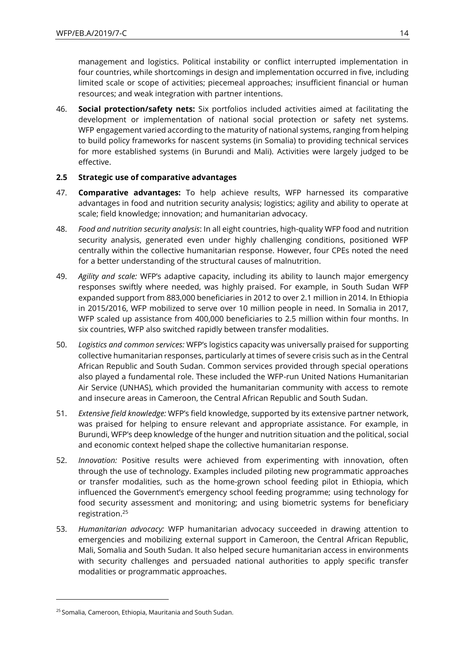management and logistics. Political instability or conflict interrupted implementation in four countries, while shortcomings in design and implementation occurred in five, including limited scale or scope of activities; piecemeal approaches; insufficient financial or human resources; and weak integration with partner intentions.

46. **Social protection/safety nets:** Six portfolios included activities aimed at facilitating the development or implementation of national social protection or safety net systems. WFP engagement varied according to the maturity of national systems, ranging from helping to build policy frameworks for nascent systems (in Somalia) to providing technical services for more established systems (in Burundi and Mali). Activities were largely judged to be effective.

### **2.5 Strategic use of comparative advantages**

- 47. **Comparative advantages:** To help achieve results, WFP harnessed its comparative advantages in food and nutrition security analysis; logistics; agility and ability to operate at scale; field knowledge; innovation; and humanitarian advocacy.
- 48. *Food and nutrition security analysis*: In all eight countries, high-quality WFP food and nutrition security analysis, generated even under highly challenging conditions, positioned WFP centrally within the collective humanitarian response. However, four CPEs noted the need for a better understanding of the structural causes of malnutrition.
- 49. *Agility and scale:* WFP's adaptive capacity, including its ability to launch major emergency responses swiftly where needed, was highly praised. For example, in South Sudan WFP expanded support from 883,000 beneficiaries in 2012 to over 2.1 million in 2014. In Ethiopia in 2015/2016, WFP mobilized to serve over 10 million people in need. In Somalia in 2017, WFP scaled up assistance from 400,000 beneficiaries to 2.5 million within four months. In six countries, WFP also switched rapidly between transfer modalities.
- 50. *Logistics and common services:* WFP's logistics capacity was universally praised for supporting collective humanitarian responses, particularly at times of severe crisis such as in the Central African Republic and South Sudan. Common services provided through special operations also played a fundamental role. These included the WFP-run United Nations Humanitarian Air Service (UNHAS), which provided the humanitarian community with access to remote and insecure areas in Cameroon, the Central African Republic and South Sudan.
- 51. *Extensive field knowledge:* WFP's field knowledge, supported by its extensive partner network, was praised for helping to ensure relevant and appropriate assistance. For example, in Burundi, WFP's deep knowledge of the hunger and nutrition situation and the political, social and economic context helped shape the collective humanitarian response.
- 52. *Innovation:* Positive results were achieved from experimenting with innovation, often through the use of technology. Examples included piloting new programmatic approaches or transfer modalities, such as the home-grown school feeding pilot in Ethiopia, which influenced the Government's emergency school feeding programme; using technology for food security assessment and monitoring; and using biometric systems for beneficiary registration.<sup>25</sup>
- 53. *Humanitarian advocacy:* WFP humanitarian advocacy succeeded in drawing attention to emergencies and mobilizing external support in Cameroon, the Central African Republic, Mali, Somalia and South Sudan. It also helped secure humanitarian access in environments with security challenges and persuaded national authorities to apply specific transfer modalities or programmatic approaches.

<sup>&</sup>lt;sup>25</sup> Somalia, Cameroon, Ethiopia, Mauritania and South Sudan.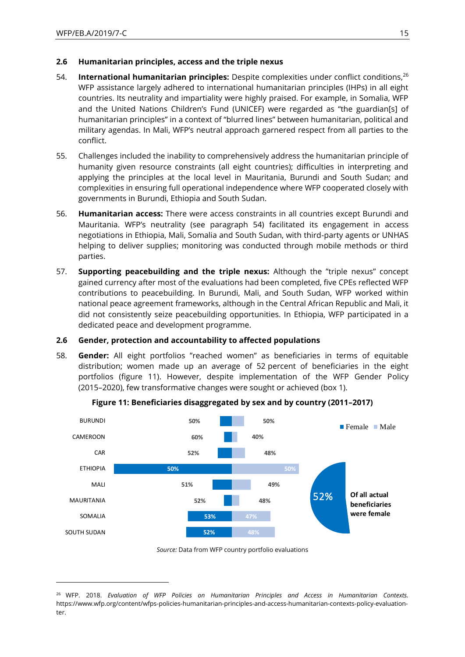$\overline{a}$ 

### **2.6 Humanitarian principles, access and the triple nexus**

- 54. **International humanitarian principles:** Despite complexities under conflict conditions,<sup>26</sup> WFP assistance largely adhered to international humanitarian principles (IHPs) in all eight countries. Its neutrality and impartiality were highly praised. For example, in Somalia, WFP and the United Nations Children's Fund (UNICEF) were regarded as "the guardian[s] of humanitarian principles" in a context of "blurred lines" between humanitarian, political and military agendas. In Mali, WFP's neutral approach garnered respect from all parties to the conflict.
- 55. Challenges included the inability to comprehensively address the humanitarian principle of humanity given resource constraints (all eight countries); difficulties in interpreting and applying the principles at the local level in Mauritania, Burundi and South Sudan; and complexities in ensuring full operational independence where WFP cooperated closely with governments in Burundi, Ethiopia and South Sudan.
- 56. **Humanitarian access:** There were access constraints in all countries except Burundi and Mauritania. WFP's neutrality (see paragraph 54) facilitated its engagement in access negotiations in Ethiopia, Mali, Somalia and South Sudan, with third-party agents or UNHAS helping to deliver supplies; monitoring was conducted through mobile methods or third parties.
- 57. **Supporting peacebuilding and the triple nexus:** Although the "triple nexus" concept gained currency after most of the evaluations had been completed, five CPEs reflected WFP contributions to peacebuilding. In Burundi, Mali, and South Sudan, WFP worked within national peace agreement frameworks, although in the Central African Republic and Mali, it did not consistently seize peacebuilding opportunities. In Ethiopia, WFP participated in a dedicated peace and development programme.

#### **2.6 Gender, protection and accountability to affected populations**

58. **Gender:** All eight portfolios "reached women" as beneficiaries in terms of equitable distribution; women made up an average of 52 percent of beneficiaries in the eight portfolios (figure 11). However, despite implementation of the WFP Gender Policy (2015–2020), few transformative changes were sought or achieved (box 1).



#### **Figure 11: Beneficiaries disaggregated by sex and by country (2011–2017)**

*Source:* Data from WFP country portfolio evaluations

<sup>26</sup> WFP. 2018. *Evaluation of WFP Policies on Humanitarian Principles and Access in Humanitarian Contexts.* [https://www.wfp.org/content/wfps-policies-humanitarian-principles-and-access-humanitarian-contexts-policy-evaluation](https://www.wfp.org/content/wfps-policies-humanitarian-principles-and-access-humanitarian-contexts-policy-evaluation-ter)[ter.](https://www.wfp.org/content/wfps-policies-humanitarian-principles-and-access-humanitarian-contexts-policy-evaluation-ter)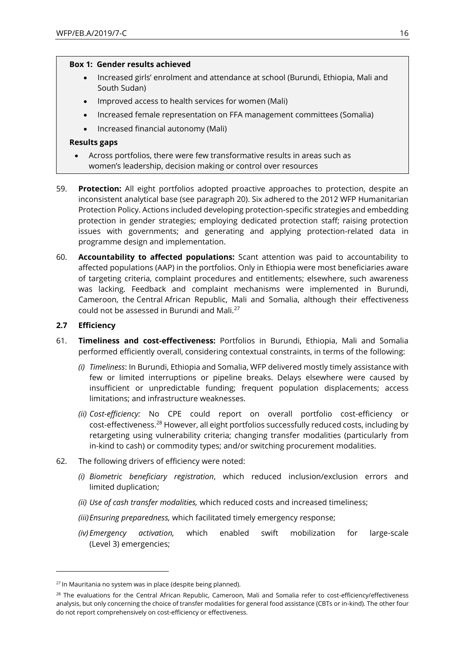#### **Box 1: Gender results achieved**

- Increased girls' enrolment and attendance at school (Burundi, Ethiopia, Mali and South Sudan)
- Improved access to health services for women (Mali)
- Increased female representation on FFA management committees (Somalia)
- Increased financial autonomy (Mali)

#### **Results gaps**

- Across portfolios, there were few transformative results in areas such as women's leadership, decision making or control over resources
- 59. **Protection:** All eight portfolios adopted proactive approaches to protection, despite an inconsistent analytical base (see paragraph 20). Six adhered to the 2012 WFP Humanitarian Protection Policy. Actions included developing protection-specific strategies and embedding protection in gender strategies; employing dedicated protection staff; raising protection issues with governments; and generating and applying protection-related data in programme design and implementation.
- 60. **Accountability to affected populations:** Scant attention was paid to accountability to affected populations (AAP) in the portfolios. Only in Ethiopia were most beneficiaries aware of targeting criteria, complaint procedures and entitlements; elsewhere, such awareness was lacking. Feedback and complaint mechanisms were implemented in Burundi, Cameroon, the Central African Republic, Mali and Somalia, although their effectiveness could not be assessed in Burundi and Mali.<sup>27</sup>

#### **2.7 Efficiency**

- 61. **Timeliness and cost-effectiveness:** Portfolios in Burundi, Ethiopia, Mali and Somalia performed efficiently overall, considering contextual constraints, in terms of the following:
	- *(i) Timeliness*: In Burundi, Ethiopia and Somalia, WFP delivered mostly timely assistance with few or limited interruptions or pipeline breaks. Delays elsewhere were caused by insufficient or unpredictable funding; frequent population displacements; access limitations; and infrastructure weaknesses.
	- *(ii) Cost-efficiency:* No CPE could report on overall portfolio cost-efficiency or cost-effectiveness.<sup>28</sup> However, all eight portfolios successfully reduced costs, including by retargeting using vulnerability criteria; changing transfer modalities (particularly from in-kind to cash) or commodity types; and/or switching procurement modalities.
- 62. The following drivers of efficiency were noted:
	- *(i) Biometric beneficiary registration*, which reduced inclusion/exclusion errors and limited duplication;
	- *(ii) Use of cash transfer modalities,* which reduced costs and increased timeliness;
	- *(iii)Ensuring preparedness,* which facilitated timely emergency response;
	- *(iv) Emergency activation,* which enabled swift mobilization for large-scale (Level 3) emergencies;

 $27$  In Mauritania no system was in place (despite being planned).

<sup>&</sup>lt;sup>28</sup> The evaluations for the Central African Republic, Cameroon, Mali and Somalia refer to cost-efficiency/effectiveness analysis, but only concerning the choice of transfer modalities for general food assistance (CBTs or in-kind). The other four do not report comprehensively on cost-efficiency or effectiveness.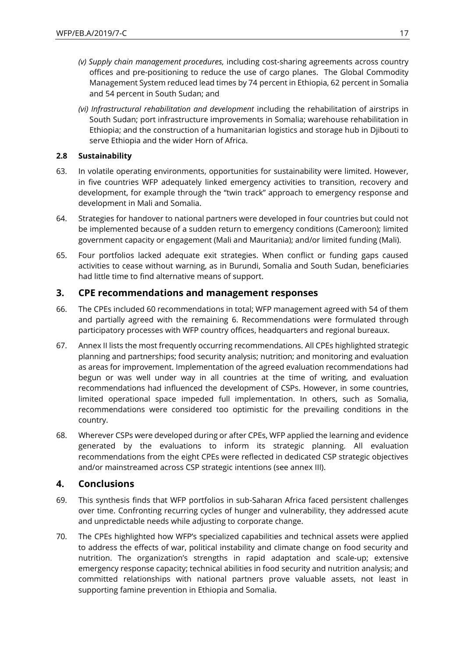- *(v) Supply chain management procedures,* including cost-sharing agreements across country offices and pre-positioning to reduce the use of cargo planes. The Global Commodity Management System reduced lead times by 74 percent in Ethiopia, 62 percent in Somalia and 54 percent in South Sudan; and
- *(vi) Infrastructural rehabilitation and development* including the rehabilitation of airstrips in South Sudan; port infrastructure improvements in Somalia; warehouse rehabilitation in Ethiopia; and the construction of a humanitarian logistics and storage hub in Djibouti to serve Ethiopia and the wider Horn of Africa.

### **2.8 Sustainability**

- 63. In volatile operating environments, opportunities for sustainability were limited. However, in five countries WFP adequately linked emergency activities to transition, recovery and development, for example through the "twin track" approach to emergency response and development in Mali and Somalia.
- 64. Strategies for handover to national partners were developed in four countries but could not be implemented because of a sudden return to emergency conditions (Cameroon); limited government capacity or engagement (Mali and Mauritania); and/or limited funding (Mali).
- 65. Four portfolios lacked adequate exit strategies. When conflict or funding gaps caused activities to cease without warning, as in Burundi, Somalia and South Sudan, beneficiaries had little time to find alternative means of support.

# **3. CPE recommendations and management responses**

- 66. The CPEs included 60 recommendations in total; WFP management agreed with 54 of them and partially agreed with the remaining 6. Recommendations were formulated through participatory processes with WFP country offices, headquarters and regional bureaux.
- 67. Annex II lists the most frequently occurring recommendations. All CPEs highlighted strategic planning and partnerships; food security analysis; nutrition; and monitoring and evaluation as areas for improvement. Implementation of the agreed evaluation recommendations had begun or was well under way in all countries at the time of writing, and evaluation recommendations had influenced the development of CSPs. However, in some countries, limited operational space impeded full implementation. In others, such as Somalia, recommendations were considered too optimistic for the prevailing conditions in the country.
- 68. Wherever CSPs were developed during or after CPEs, WFP applied the learning and evidence generated by the evaluations to inform its strategic planning. All evaluation recommendations from the eight CPEs were reflected in dedicated CSP strategic objectives and/or mainstreamed across CSP strategic intentions (see annex III).

# **4. Conclusions**

- 69. This synthesis finds that WFP portfolios in sub-Saharan Africa faced persistent challenges over time. Confronting recurring cycles of hunger and vulnerability, they addressed acute and unpredictable needs while adjusting to corporate change.
- 70. The CPEs highlighted how WFP's specialized capabilities and technical assets were applied to address the effects of war, political instability and climate change on food security and nutrition. The organization's strengths in rapid adaptation and scale-up; extensive emergency response capacity; technical abilities in food security and nutrition analysis; and committed relationships with national partners prove valuable assets, not least in supporting famine prevention in Ethiopia and Somalia.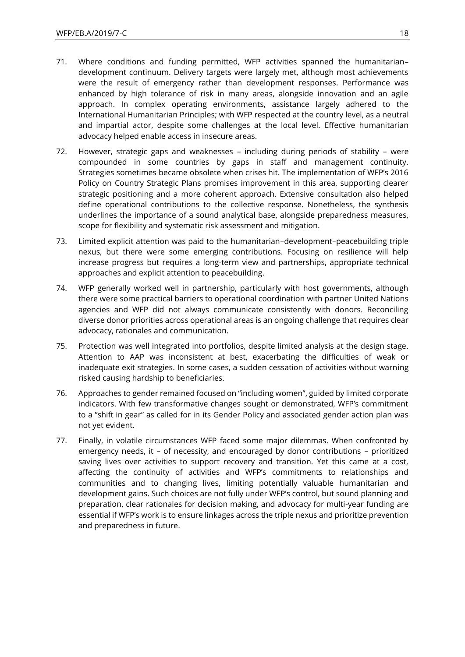- 71. Where conditions and funding permitted, WFP activities spanned the humanitarian– development continuum. Delivery targets were largely met, although most achievements were the result of emergency rather than development responses. Performance was enhanced by high tolerance of risk in many areas, alongside innovation and an agile approach. In complex operating environments, assistance largely adhered to the International Humanitarian Principles; with WFP respected at the country level, as a neutral and impartial actor, despite some challenges at the local level. Effective humanitarian advocacy helped enable access in insecure areas.
- 72. However, strategic gaps and weaknesses including during periods of stability were compounded in some countries by gaps in staff and management continuity. Strategies sometimes became obsolete when crises hit. The implementation of WFP's 2016 Policy on Country Strategic Plans promises improvement in this area, supporting clearer strategic positioning and a more coherent approach. Extensive consultation also helped define operational contributions to the collective response. Nonetheless, the synthesis underlines the importance of a sound analytical base, alongside preparedness measures, scope for flexibility and systematic risk assessment and mitigation.
- 73. Limited explicit attention was paid to the humanitarian–development–peacebuilding triple nexus, but there were some emerging contributions. Focusing on resilience will help increase progress but requires a long-term view and partnerships, appropriate technical approaches and explicit attention to peacebuilding.
- 74. WFP generally worked well in partnership, particularly with host governments, although there were some practical barriers to operational coordination with partner United Nations agencies and WFP did not always communicate consistently with donors. Reconciling diverse donor priorities across operational areas is an ongoing challenge that requires clear advocacy, rationales and communication.
- 75. Protection was well integrated into portfolios, despite limited analysis at the design stage. Attention to AAP was inconsistent at best, exacerbating the difficulties of weak or inadequate exit strategies. In some cases, a sudden cessation of activities without warning risked causing hardship to beneficiaries.
- 76. Approaches to gender remained focused on "including women", guided by limited corporate indicators. With few transformative changes sought or demonstrated, WFP's commitment to a "shift in gear" as called for in its Gender Policy and associated gender action plan was not yet evident.
- 77. Finally, in volatile circumstances WFP faced some major dilemmas. When confronted by emergency needs, it – of necessity, and encouraged by donor contributions – prioritized saving lives over activities to support recovery and transition. Yet this came at a cost, affecting the continuity of activities and WFP's commitments to relationships and communities and to changing lives, limiting potentially valuable humanitarian and development gains. Such choices are not fully under WFP's control, but sound planning and preparation, clear rationales for decision making, and advocacy for multi-year funding are essential if WFP's work is to ensure linkages across the triple nexus and prioritize prevention and preparedness in future.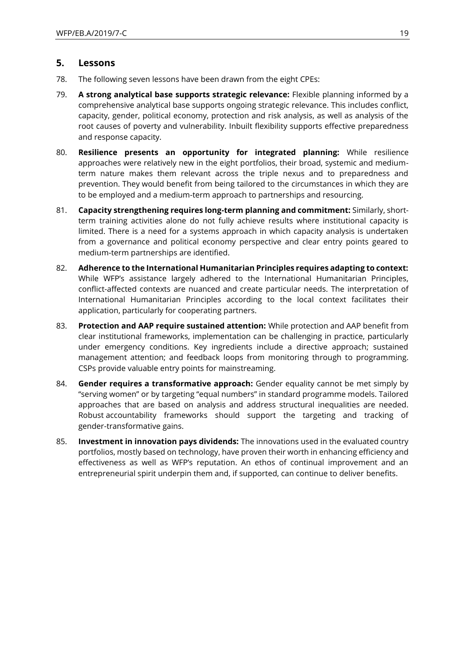# **5. Lessons**

- 78. The following seven lessons have been drawn from the eight CPEs:
- 79. **A strong analytical base supports strategic relevance:** Flexible planning informed by a comprehensive analytical base supports ongoing strategic relevance. This includes conflict, capacity, gender, political economy, protection and risk analysis, as well as analysis of the root causes of poverty and vulnerability. Inbuilt flexibility supports effective preparedness and response capacity.
- 80. **Resilience presents an opportunity for integrated planning:** While resilience approaches were relatively new in the eight portfolios, their broad, systemic and mediumterm nature makes them relevant across the triple nexus and to preparedness and prevention. They would benefit from being tailored to the circumstances in which they are to be employed and a medium-term approach to partnerships and resourcing.
- 81. **Capacity strengthening requires long-term planning and commitment:** Similarly, shortterm training activities alone do not fully achieve results where institutional capacity is limited. There is a need for a systems approach in which capacity analysis is undertaken from a governance and political economy perspective and clear entry points geared to medium-term partnerships are identified.
- 82. **Adherence to the International Humanitarian Principles requires adapting to context:** While WFP's assistance largely adhered to the International Humanitarian Principles, conflict-affected contexts are nuanced and create particular needs. The interpretation of International Humanitarian Principles according to the local context facilitates their application, particularly for cooperating partners.
- 83. **Protection and AAP require sustained attention:** While protection and AAP benefit from clear institutional frameworks, implementation can be challenging in practice, particularly under emergency conditions. Key ingredients include a directive approach; sustained management attention; and feedback loops from monitoring through to programming. CSPs provide valuable entry points for mainstreaming.
- 84. **Gender requires a transformative approach:** Gender equality cannot be met simply by "serving women" or by targeting "equal numbers" in standard programme models. Tailored approaches that are based on analysis and address structural inequalities are needed. Robust accountability frameworks should support the targeting and tracking of gender-transformative gains.
- 85. **Investment in innovation pays dividends:** The innovations used in the evaluated country portfolios, mostly based on technology, have proven their worth in enhancing efficiency and effectiveness as well as WFP's reputation. An ethos of continual improvement and an entrepreneurial spirit underpin them and, if supported, can continue to deliver benefits.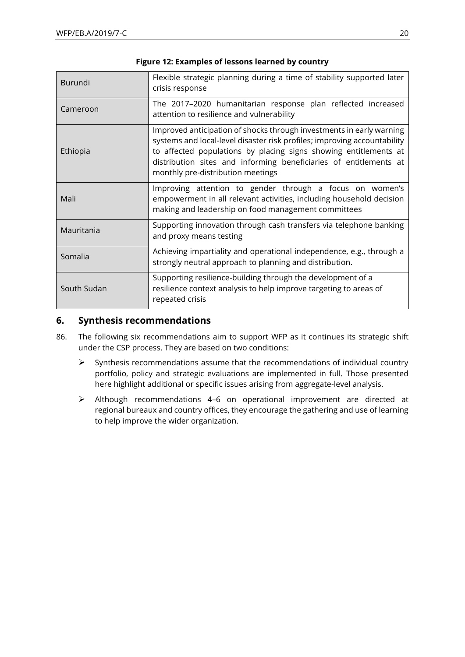| Burundi     | Flexible strategic planning during a time of stability supported later<br>crisis response                                                                                                                                                                                                                                      |
|-------------|--------------------------------------------------------------------------------------------------------------------------------------------------------------------------------------------------------------------------------------------------------------------------------------------------------------------------------|
| Cameroon    | The 2017-2020 humanitarian response plan reflected increased<br>attention to resilience and vulnerability                                                                                                                                                                                                                      |
| Ethiopia    | Improved anticipation of shocks through investments in early warning<br>systems and local-level disaster risk profiles; improving accountability<br>to affected populations by placing signs showing entitlements at<br>distribution sites and informing beneficiaries of entitlements at<br>monthly pre-distribution meetings |
| Mali        | Improving attention to gender through a focus on women's<br>empowerment in all relevant activities, including household decision<br>making and leadership on food management committees                                                                                                                                        |
| Mauritania  | Supporting innovation through cash transfers via telephone banking<br>and proxy means testing                                                                                                                                                                                                                                  |
| Somalia     | Achieving impartiality and operational independence, e.g., through a<br>strongly neutral approach to planning and distribution.                                                                                                                                                                                                |
| South Sudan | Supporting resilience-building through the development of a<br>resilience context analysis to help improve targeting to areas of<br>repeated crisis                                                                                                                                                                            |

### **Figure 12: Examples of lessons learned by country**

# **6. Synthesis recommendations**

- 86. The following six recommendations aim to support WFP as it continues its strategic shift under the CSP process. They are based on two conditions:
	- ➢ Synthesis recommendations assume that the recommendations of individual country portfolio, policy and strategic evaluations are implemented in full. Those presented here highlight additional or specific issues arising from aggregate-level analysis.
	- ➢ Although recommendations 4–6 on operational improvement are directed at regional bureaux and country offices, they encourage the gathering and use of learning to help improve the wider organization.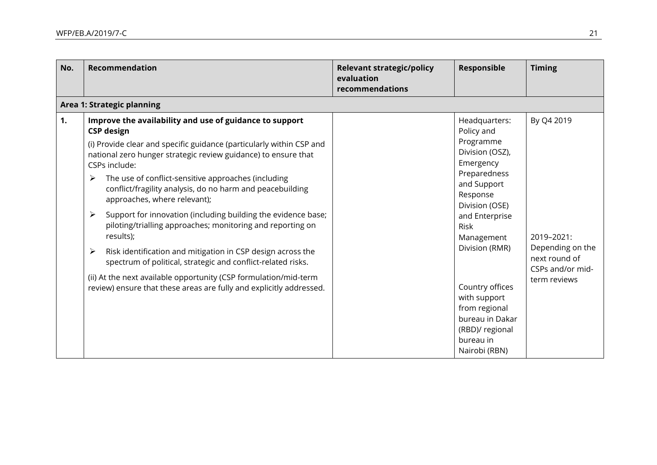| No. | Recommendation                                                                                                                                                                                                                                                                                                                                                                                                                                                                                                                                                                                                                                                                                                                                                                                                                   | <b>Relevant strategic/policy</b><br>evaluation<br>recommendations | Responsible                                                                                                                                                                                                                                                                                                             | <b>Timing</b>                                                                                     |
|-----|----------------------------------------------------------------------------------------------------------------------------------------------------------------------------------------------------------------------------------------------------------------------------------------------------------------------------------------------------------------------------------------------------------------------------------------------------------------------------------------------------------------------------------------------------------------------------------------------------------------------------------------------------------------------------------------------------------------------------------------------------------------------------------------------------------------------------------|-------------------------------------------------------------------|-------------------------------------------------------------------------------------------------------------------------------------------------------------------------------------------------------------------------------------------------------------------------------------------------------------------------|---------------------------------------------------------------------------------------------------|
|     | Area 1: Strategic planning                                                                                                                                                                                                                                                                                                                                                                                                                                                                                                                                                                                                                                                                                                                                                                                                       |                                                                   |                                                                                                                                                                                                                                                                                                                         |                                                                                                   |
| 1.  | Improve the availability and use of guidance to support<br><b>CSP</b> design<br>(i) Provide clear and specific guidance (particularly within CSP and<br>national zero hunger strategic review guidance) to ensure that<br>CSPs include:<br>The use of conflict-sensitive approaches (including<br>➤<br>conflict/fragility analysis, do no harm and peacebuilding<br>approaches, where relevant);<br>Support for innovation (including building the evidence base;<br>➤<br>piloting/trialling approaches; monitoring and reporting on<br>results);<br>Risk identification and mitigation in CSP design across the<br>➤<br>spectrum of political, strategic and conflict-related risks.<br>(ii) At the next available opportunity (CSP formulation/mid-term<br>review) ensure that these areas are fully and explicitly addressed. |                                                                   | Headquarters:<br>Policy and<br>Programme<br>Division (OSZ),<br>Emergency<br>Preparedness<br>and Support<br>Response<br>Division (OSE)<br>and Enterprise<br>Risk<br>Management<br>Division (RMR)<br>Country offices<br>with support<br>from regional<br>bureau in Dakar<br>(RBD)/ regional<br>bureau in<br>Nairobi (RBN) | By Q4 2019<br>2019-2021:<br>Depending on the<br>next round of<br>CSPs and/or mid-<br>term reviews |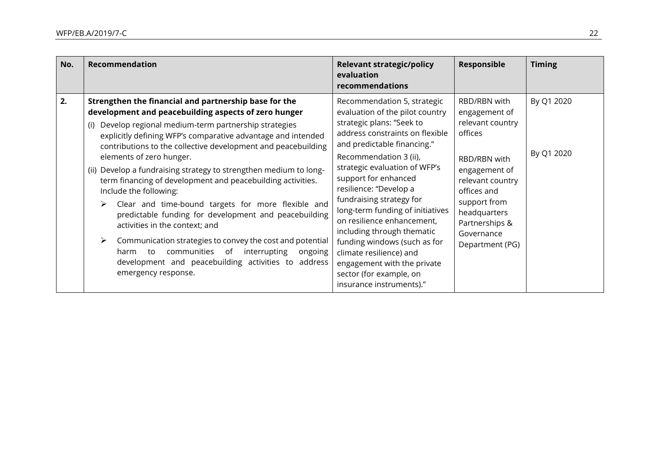| No. | Recommendation                                                                                                                                                                                                                                                                                                                                                                                                                                                                                                                                                                                                                                                                                                                                                                                                                                                      | <b>Relevant strategic/policy</b><br>evaluation<br>recommendations                                                                                                                                                                                                                                                                                                                                                                                                                                                                                       | <b>Responsible</b>                                                                                                                                                                                                  | <b>Timing</b>            |
|-----|---------------------------------------------------------------------------------------------------------------------------------------------------------------------------------------------------------------------------------------------------------------------------------------------------------------------------------------------------------------------------------------------------------------------------------------------------------------------------------------------------------------------------------------------------------------------------------------------------------------------------------------------------------------------------------------------------------------------------------------------------------------------------------------------------------------------------------------------------------------------|---------------------------------------------------------------------------------------------------------------------------------------------------------------------------------------------------------------------------------------------------------------------------------------------------------------------------------------------------------------------------------------------------------------------------------------------------------------------------------------------------------------------------------------------------------|---------------------------------------------------------------------------------------------------------------------------------------------------------------------------------------------------------------------|--------------------------|
| 2.  | Strengthen the financial and partnership base for the<br>development and peacebuilding aspects of zero hunger<br>Develop regional medium-term partnership strategies<br>explicitly defining WFP's comparative advantage and intended<br>contributions to the collective development and peacebuilding<br>elements of zero hunger.<br>(ii) Develop a fundraising strategy to strengthen medium to long-<br>term financing of development and peacebuilding activities.<br>Include the following:<br>Clear and time-bound targets for more flexible and<br>➤<br>predictable funding for development and peacebuilding<br>activities in the context; and<br>Communication strategies to convey the cost and potential<br>➤<br>communities<br>of<br>interrupting<br>to<br>ongoing<br>harm<br>development and peacebuilding activities to address<br>emergency response. | Recommendation 5, strategic<br>evaluation of the pilot country<br>strategic plans: "Seek to<br>address constraints on flexible<br>and predictable financing."<br>Recommendation 3 (ii),<br>strategic evaluation of WFP's<br>support for enhanced<br>resilience: "Develop a<br>fundraising strategy for<br>long-term funding of initiatives<br>on resilience enhancement,<br>including through thematic<br>funding windows (such as for<br>climate resilience) and<br>engagement with the private<br>sector (for example, on<br>insurance instruments)." | RBD/RBN with<br>engagement of<br>relevant country<br>offices<br>RBD/RBN with<br>engagement of<br>relevant country<br>offices and<br>support from<br>headquarters<br>Partnerships &<br>Governance<br>Department (PG) | By Q1 2020<br>By Q1 2020 |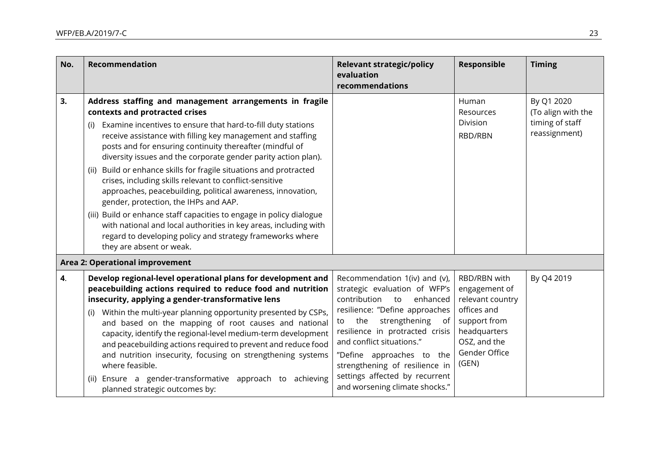| No. | <b>Recommendation</b>                                                                                                                                                                                                                                                                                                                                                                                                                                                                                                                                                                                                                                                                                                                                                                                                                       | <b>Relevant strategic/policy</b><br>evaluation<br>recommendations                                                                                                                                                                                                                                                                                                      | Responsible                                                                                                                                | <b>Timing</b>                                                        |
|-----|---------------------------------------------------------------------------------------------------------------------------------------------------------------------------------------------------------------------------------------------------------------------------------------------------------------------------------------------------------------------------------------------------------------------------------------------------------------------------------------------------------------------------------------------------------------------------------------------------------------------------------------------------------------------------------------------------------------------------------------------------------------------------------------------------------------------------------------------|------------------------------------------------------------------------------------------------------------------------------------------------------------------------------------------------------------------------------------------------------------------------------------------------------------------------------------------------------------------------|--------------------------------------------------------------------------------------------------------------------------------------------|----------------------------------------------------------------------|
| 3.  | Address staffing and management arrangements in fragile<br>contexts and protracted crises<br>Examine incentives to ensure that hard-to-fill duty stations<br>(i)<br>receive assistance with filling key management and staffing<br>posts and for ensuring continuity thereafter (mindful of<br>diversity issues and the corporate gender parity action plan).<br>(ii) Build or enhance skills for fragile situations and protracted<br>crises, including skills relevant to conflict-sensitive<br>approaches, peacebuilding, political awareness, innovation,<br>gender, protection, the IHPs and AAP.<br>(iii) Build or enhance staff capacities to engage in policy dialogue<br>with national and local authorities in key areas, including with<br>regard to developing policy and strategy frameworks where<br>they are absent or weak. |                                                                                                                                                                                                                                                                                                                                                                        | Human<br>Resources<br>Division<br>RBD/RBN                                                                                                  | By Q1 2020<br>(To align with the<br>timing of staff<br>reassignment) |
|     | Area 2: Operational improvement                                                                                                                                                                                                                                                                                                                                                                                                                                                                                                                                                                                                                                                                                                                                                                                                             |                                                                                                                                                                                                                                                                                                                                                                        |                                                                                                                                            |                                                                      |
| 4.  | Develop regional-level operational plans for development and<br>peacebuilding actions required to reduce food and nutrition<br>insecurity, applying a gender-transformative lens<br>Within the multi-year planning opportunity presented by CSPs,<br>(i)<br>and based on the mapping of root causes and national<br>capacity, identify the regional-level medium-term development<br>and peacebuilding actions required to prevent and reduce food<br>and nutrition insecurity, focusing on strengthening systems<br>where feasible.<br>Ensure a gender-transformative approach to<br>achieving<br>(ii)<br>planned strategic outcomes by:                                                                                                                                                                                                   | Recommendation 1(iv) and (v),<br>strategic evaluation of WFP's<br>contribution to<br>enhanced<br>resilience: "Define approaches<br>strengthening<br>the<br>of<br>to<br>resilience in protracted crisis<br>and conflict situations."<br>"Define approaches to the<br>strengthening of resilience in<br>settings affected by recurrent<br>and worsening climate shocks." | RBD/RBN with<br>engagement of<br>relevant country<br>offices and<br>support from<br>headquarters<br>OSZ, and the<br>Gender Office<br>(GEN) | By Q4 2019                                                           |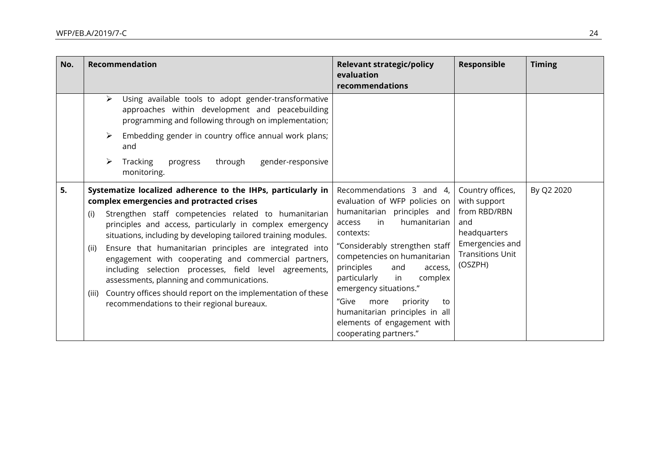| No. | Recommendation                                                                                                                                                                                                                                                                                                                                                                                                                                                                                                                                                                                                                                                   | <b>Relevant strategic/policy</b><br>evaluation<br>recommendations                                                                                                                                                                                                                                                                                                                                                                | Responsible                                                                                                                      | <b>Timing</b> |
|-----|------------------------------------------------------------------------------------------------------------------------------------------------------------------------------------------------------------------------------------------------------------------------------------------------------------------------------------------------------------------------------------------------------------------------------------------------------------------------------------------------------------------------------------------------------------------------------------------------------------------------------------------------------------------|----------------------------------------------------------------------------------------------------------------------------------------------------------------------------------------------------------------------------------------------------------------------------------------------------------------------------------------------------------------------------------------------------------------------------------|----------------------------------------------------------------------------------------------------------------------------------|---------------|
|     | Using available tools to adopt gender-transformative<br>➤<br>approaches within development and peacebuilding<br>programming and following through on implementation;<br>Embedding gender in country office annual work plans;<br>➤<br>and<br><b>Tracking</b><br>progress<br>through<br>gender-responsive<br>➤<br>monitoring.                                                                                                                                                                                                                                                                                                                                     |                                                                                                                                                                                                                                                                                                                                                                                                                                  |                                                                                                                                  |               |
| 5.  | Systematize localized adherence to the IHPs, particularly in<br>complex emergencies and protracted crises<br>Strengthen staff competencies related to humanitarian<br>(i)<br>principles and access, particularly in complex emergency<br>situations, including by developing tailored training modules.<br>Ensure that humanitarian principles are integrated into<br>(ii)<br>engagement with cooperating and commercial partners,<br>including selection processes, field level agreements,<br>assessments, planning and communications.<br>Country offices should report on the implementation of these<br>(iii)<br>recommendations to their regional bureaux. | Recommendations 3 and 4,<br>evaluation of WFP policies on<br>humanitarian principles and<br>in<br>humanitarian<br>access<br>contexts:<br>"Considerably strengthen staff<br>competencies on humanitarian<br>principles<br>and<br>access,<br>particularly<br>complex<br>in<br>emergency situations."<br>"Give<br>priority<br>more<br>to<br>humanitarian principles in all<br>elements of engagement with<br>cooperating partners." | Country offices,<br>with support<br>from RBD/RBN<br>and<br>headquarters<br>Emergencies and<br><b>Transitions Unit</b><br>(OSZPH) | By Q2 2020    |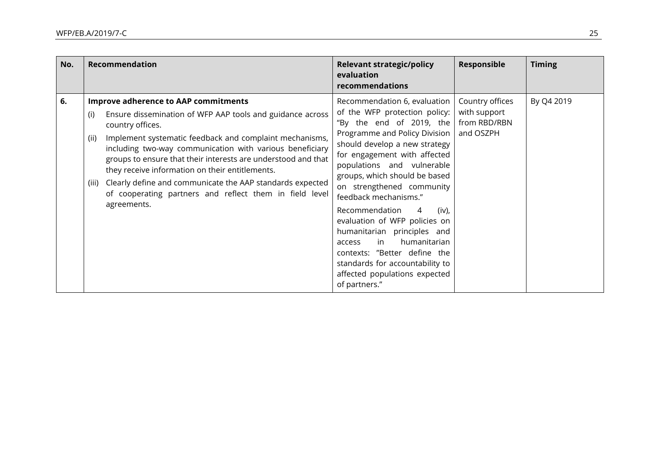| No. | Recommendation                                                                                                                                                                                                                                                                                                                                                                                                                                                                                                                         | <b>Relevant strategic/policy</b><br>evaluation<br>recommendations                                                                                                                                                                                                                                                                                                                                                                                                                                                                                                        | Responsible                                                  | <b>Timing</b> |  |
|-----|----------------------------------------------------------------------------------------------------------------------------------------------------------------------------------------------------------------------------------------------------------------------------------------------------------------------------------------------------------------------------------------------------------------------------------------------------------------------------------------------------------------------------------------|--------------------------------------------------------------------------------------------------------------------------------------------------------------------------------------------------------------------------------------------------------------------------------------------------------------------------------------------------------------------------------------------------------------------------------------------------------------------------------------------------------------------------------------------------------------------------|--------------------------------------------------------------|---------------|--|
| 6.  | <b>Improve adherence to AAP commitments</b><br>Ensure dissemination of WFP AAP tools and guidance across<br>(i)<br>country offices.<br>Implement systematic feedback and complaint mechanisms,<br>(ii)<br>including two-way communication with various beneficiary<br>groups to ensure that their interests are understood and that<br>they receive information on their entitlements.<br>Clearly define and communicate the AAP standards expected<br>(iii)<br>of cooperating partners and reflect them in field level<br>agreements. | Recommendation 6, evaluation<br>of the WFP protection policy:<br>"By the end of 2019, the<br>Programme and Policy Division<br>should develop a new strategy<br>for engagement with affected<br>populations and vulnerable<br>groups, which should be based<br>on strengthened community<br>feedback mechanisms."<br>Recommendation<br>$(iv)$ ,<br>4<br>evaluation of WFP policies on<br>humanitarian principles and<br>humanitarian<br>in<br>access<br>contexts: "Better define the<br>standards for accountability to<br>affected populations expected<br>of partners." | Country offices<br>with support<br>from RBD/RBN<br>and OSZPH | By Q4 2019    |  |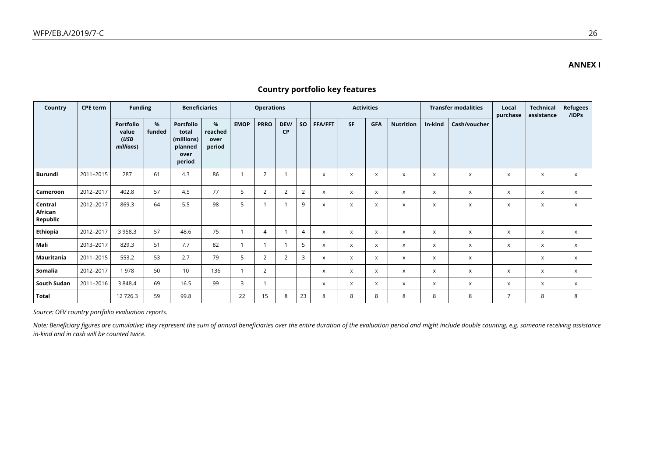| Country                        | <b>CPE term</b> | <b>Funding</b>                          |             | <b>Beneficiaries</b>                                          |                                   |             | <b>Operations</b> |                   |                |                           |                           | <b>Activities</b>         |                           |                           | <b>Transfer modalities</b> | Local<br>purchase         | <b>Technical</b><br>assistance | <b>Refugees</b><br>/IDPs |
|--------------------------------|-----------------|-----------------------------------------|-------------|---------------------------------------------------------------|-----------------------------------|-------------|-------------------|-------------------|----------------|---------------------------|---------------------------|---------------------------|---------------------------|---------------------------|----------------------------|---------------------------|--------------------------------|--------------------------|
|                                |                 | Portfolio<br>value<br>(USD<br>millions) | %<br>funded | Portfolio<br>total<br>(millions)<br>planned<br>over<br>period | $\%$<br>reached<br>over<br>period | <b>EMOP</b> | <b>PRRO</b>       | DEV/<br><b>CP</b> | <b>SO</b>      | <b>FFA/FFT</b>            | <b>SF</b>                 | <b>GFA</b>                | <b>Nutrition</b>          | In-kind                   | Cash/voucher               |                           |                                |                          |
| Burundi                        | 2011-2015       | 287                                     | 61          | 4.3                                                           | 86                                |             | 2                 |                   |                | $\times$                  | $\boldsymbol{\mathsf{x}}$ | X                         | $\boldsymbol{\mathsf{x}}$ | $\boldsymbol{\mathsf{x}}$ | $\mathsf{x}$               | $\boldsymbol{\mathsf{x}}$ | $\boldsymbol{\mathsf{x}}$      | $\mathsf{x}$             |
| Cameroon                       | 2012-2017       | 402.8                                   | 57          | 4.5                                                           | 77                                | 5           | 2                 | 2                 | $\overline{2}$ | $\boldsymbol{\mathsf{x}}$ | $\pmb{\times}$            | X                         | $\boldsymbol{\mathsf{x}}$ | X                         | X                          | $\times$                  | $\times$                       | $\mathsf{x}$             |
| Central<br>African<br>Republic | 2012-2017       | 869.3                                   | 64          | 5.5                                                           | 98                                | 5           |                   |                   | 9              | $\boldsymbol{\mathsf{x}}$ | $\pmb{\mathsf{X}}$        | X                         | $\boldsymbol{\mathsf{x}}$ | X                         | X                          | $\pmb{\times}$            | $\boldsymbol{\mathsf{x}}$      | $\mathsf{x}$             |
| Ethiopia                       | 2012-2017       | 3 9 5 8.3                               | 57          | 48.6                                                          | 75                                |             | $\overline{4}$    | $\overline{1}$    | $\overline{4}$ | $\boldsymbol{\mathsf{x}}$ | X                         | X                         | X                         | X                         | X                          | $\boldsymbol{\mathsf{x}}$ | $\times$                       | $\mathsf{x}$             |
| Mali                           | 2013-2017       | 829.3                                   | 51          | 7.7                                                           | 82                                |             |                   | $\overline{1}$    | 5 <sup>5</sup> | $\boldsymbol{\mathsf{x}}$ | $\mathsf{x}$              | X                         | $\boldsymbol{\mathsf{x}}$ | X                         | X                          | $\boldsymbol{\mathsf{x}}$ | $\boldsymbol{\mathsf{x}}$      | $\mathsf{x}$             |
| Mauritania                     | 2011-2015       | 553.2                                   | 53          | 2.7                                                           | 79                                | 5           | 2                 | 2                 | $\overline{3}$ | $\boldsymbol{\mathsf{x}}$ | $\times$                  | X                         | $\boldsymbol{\mathsf{x}}$ | $\boldsymbol{\mathsf{x}}$ | $\times$                   |                           | $\boldsymbol{\mathsf{x}}$      | $\mathsf{x}$             |
| Somalia                        | 2012-2017       | 1978                                    | 50          | 10                                                            | 136                               |             | 2                 |                   |                | $\boldsymbol{\mathsf{x}}$ | $\mathsf{x}$              | $\mathsf{x}$              | $\boldsymbol{\mathsf{x}}$ | X                         | $\mathsf{x}$               | $\boldsymbol{\mathsf{x}}$ | $\mathsf{x}$                   | $\mathsf{x}$             |
| South Sudan                    | 2011-2016       | 3 8 4 8.4                               | 69          | 16.5                                                          | 99                                | 3           |                   |                   |                | $\boldsymbol{\mathsf{x}}$ | $\boldsymbol{\mathsf{x}}$ | $\boldsymbol{\mathsf{x}}$ | $\boldsymbol{\mathsf{x}}$ | $\boldsymbol{\mathsf{x}}$ | $\times$                   | $\boldsymbol{\mathsf{x}}$ | $\boldsymbol{\mathsf{x}}$      | $\mathsf{x}$             |
| Total                          |                 | 12 7 26.3                               | 59          | 99.8                                                          |                                   | 22          | 15                | 8                 | 23             | 8                         | 8                         | 8                         | 8                         | 8                         | 8                          | $\overline{7}$            | 8                              | 8                        |

# **Country portfolio key features**

*Source: OEV country portfolio evaluation reports.*

Note: Beneficiary figures are cumulative; they represent the sum of annual beneficiaries over the entire duration of the evaluation period and might include double counting, e.g. someone receiving assistance *in-kind and in cash will be counted twice.*

**ANNEX I**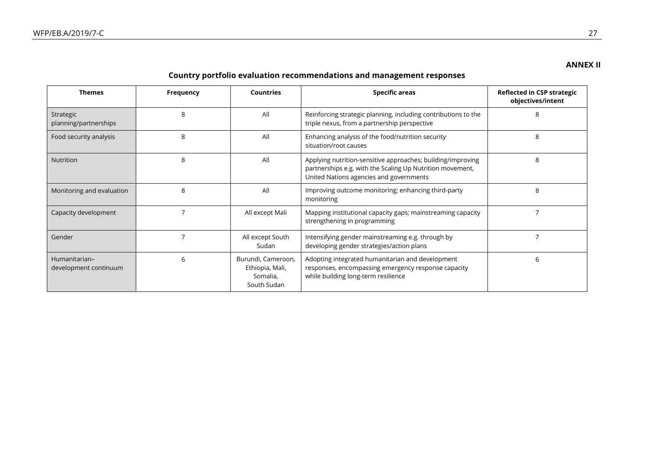# **ANNEX II**

# **Country portfolio evaluation recommendations and management responses**

| <b>Themes</b>                          | <b>Frequency</b> | <b>Countries</b>                                                 | <b>Specific areas</b>                                                                                                                                               | Reflected in CSP strategic<br>objectives/intent |
|----------------------------------------|------------------|------------------------------------------------------------------|---------------------------------------------------------------------------------------------------------------------------------------------------------------------|-------------------------------------------------|
| Strategic<br>planning/partnerships     | 8                | All                                                              | Reinforcing strategic planning, including contributions to the<br>triple nexus, from a partnership perspective                                                      | 8                                               |
| Food security analysis                 | 8                | All                                                              | Enhancing analysis of the food/nutrition security<br>situation/root causes                                                                                          | 8                                               |
| Nutrition                              | 8                | All                                                              | Applying nutrition-sensitive approaches; building/improving<br>partnerships e.g. with the Scaling Up Nutrition movement,<br>United Nations agencies and governments | 8                                               |
| Monitoring and evaluation              | 8                | All                                                              | Improving outcome monitoring; enhancing third-party<br>monitoring                                                                                                   | 8                                               |
| Capacity development                   |                  | All except Mali                                                  | Mapping institutional capacity gaps; mainstreaming capacity<br>strengthening in programming                                                                         |                                                 |
| Gender                                 |                  | All except South<br>Sudan                                        | Intensifying gender mainstreaming e.g. through by<br>developing gender strategies/action plans                                                                      |                                                 |
| Humanitarian-<br>development continuum | 6                | Burundi, Cameroon,<br>Ethiopia, Mali,<br>Somalia,<br>South Sudan | Adopting integrated humanitarian and development<br>responses, encompassing emergency response capacity<br>while building long-term resilience                      | 6                                               |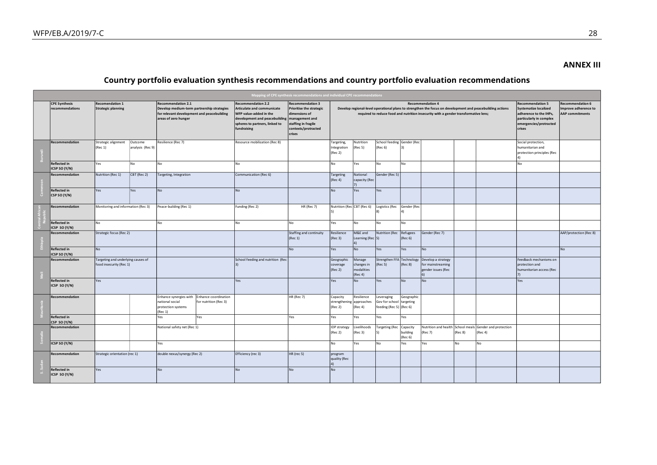#### **ANNEX III**

# **Country portfolio evaluation synthesis recommendations and country portfolio evaluation recommendations**

| Mapping of CPE synthesis recommendations and individual CPE recommendations<br><b>Recommendation 4</b> |                                                               |                             |                                                                                                                                               |                                                                                                                                                                                           |                                                                                                                                     |                                                                                                                                                                                                                                                           |                                               |                                                                   |                                 |                                                               |         |                                                                                                                                                  |                                                                           |                        |
|--------------------------------------------------------------------------------------------------------|---------------------------------------------------------------|-----------------------------|-----------------------------------------------------------------------------------------------------------------------------------------------|-------------------------------------------------------------------------------------------------------------------------------------------------------------------------------------------|-------------------------------------------------------------------------------------------------------------------------------------|-----------------------------------------------------------------------------------------------------------------------------------------------------------------------------------------------------------------------------------------------------------|-----------------------------------------------|-------------------------------------------------------------------|---------------------------------|---------------------------------------------------------------|---------|--------------------------------------------------------------------------------------------------------------------------------------------------|---------------------------------------------------------------------------|------------------------|
| <b>CPE Synthesis</b><br>recommendations                                                                | <b>Recomendation 1</b><br><b>Strategic planning</b>           |                             | <b>Recommendation 2.1</b><br>Develop medium-term partnership strategies<br>for relevant development and peacebuilding<br>areas of zero hunger | <b>Recommendation 2.2</b><br><b>Articulate and communicate</b><br>WFP value-added in the<br>development and peacebuilding management and<br>spheres to partners, linked to<br>fundraising | <b>Recommendation 3</b><br><b>Prioritise the strategic</b><br>dimensions of<br>staffing in fragile<br>contexts/protracted<br>crises | Develop regional-level operational plans to strengthen the focus on development and peacebuilding actions<br>required to reduce food and nutrition insecurity with a gender transformative lens;<br>Nutrition<br>School feeding Gender (Rec<br>Targeting, |                                               |                                                                   |                                 |                                                               |         | <b>Recommendation 5</b><br><b>Systematize localized</b><br>adherence to the IHPs,<br>particularly in complex<br>emergencies/protracted<br>crises | <b>Recommendation 6</b><br>Improve adherence to<br><b>AAP</b> commitments |                        |
| Recommendation                                                                                         | Strategic alignment<br>(Rec 1)                                | Outcome<br>analysis (Rec 9) | Resilience (Rec 7)                                                                                                                            | Resource mobilization (Rec 8)                                                                                                                                                             |                                                                                                                                     | Integration<br>(Rec 2)                                                                                                                                                                                                                                    | (Rec 5)                                       | (Rec 6)                                                           |                                 |                                                               |         |                                                                                                                                                  | Social protection,<br>humanitarian and<br>protection principles (Rec      |                        |
| Reflected in<br><b>ICSP SO (Y/N)</b>                                                                   | Yes                                                           | No                          | No                                                                                                                                            | No                                                                                                                                                                                        |                                                                                                                                     | No                                                                                                                                                                                                                                                        | Yes                                           | No                                                                | No                              |                                                               |         |                                                                                                                                                  | No                                                                        |                        |
| Recommendation                                                                                         | Nutrition (Rec 1)                                             | CBT (Rec 2)                 | Targeting, Integration                                                                                                                        | Communication (Rec 6)                                                                                                                                                                     |                                                                                                                                     | Targeting<br>(Rec 4)                                                                                                                                                                                                                                      | National<br>capacity (Rec<br>71               | Gender (Rec 5)                                                    |                                 |                                                               |         |                                                                                                                                                  |                                                                           |                        |
| <b>Reflected in</b><br>CSP SO (Y/N)                                                                    | Yes                                                           | Yes                         | <b>No</b>                                                                                                                                     | <b>No</b>                                                                                                                                                                                 |                                                                                                                                     | No                                                                                                                                                                                                                                                        | Yes                                           | Yes                                                               |                                 |                                                               |         |                                                                                                                                                  |                                                                           |                        |
| Recommendation                                                                                         | Monitoring and information (Rec 3)                            |                             | Peace-building (Rec 1)                                                                                                                        | Funding (Rec 2)                                                                                                                                                                           | HR (Rec 7)                                                                                                                          | Nutrition (Rec CBT (Rec 6)<br>5)                                                                                                                                                                                                                          |                                               | Logistics (Rec                                                    | Gender (Rec<br>4)               |                                                               |         |                                                                                                                                                  |                                                                           |                        |
| Reflected in<br>ICSP SO (Y/N)                                                                          | No                                                            |                             | No                                                                                                                                            | No                                                                                                                                                                                        | No                                                                                                                                  | Yes                                                                                                                                                                                                                                                       | No                                            | No                                                                | No                              |                                                               |         |                                                                                                                                                  |                                                                           |                        |
| Recommendation                                                                                         | Strategic focus (Rec 2)                                       |                             |                                                                                                                                               |                                                                                                                                                                                           | <b>Staffing and continuity</b><br>(Rec 1)                                                                                           | Resilience<br>(Rec 3)                                                                                                                                                                                                                                     | M&E and<br>Learning (Rec 5)<br>4)             | <b>Nutrition (Rec</b>                                             | Refugees<br>(Rec 6)             | Gender (Rec 7)                                                |         |                                                                                                                                                  |                                                                           | AAP/protection (Rec 8) |
| <b>Reflected in</b><br>ICSP SO (Y/N)                                                                   | No                                                            |                             |                                                                                                                                               |                                                                                                                                                                                           | No                                                                                                                                  | Yes                                                                                                                                                                                                                                                       | No                                            | Yes                                                               | Yes                             | No                                                            |         |                                                                                                                                                  |                                                                           | No                     |
| Recommendation                                                                                         | Targeting and underlying causes of<br>food insecurity (Rec 1) |                             |                                                                                                                                               | School feeding and nutrition (Rec                                                                                                                                                         |                                                                                                                                     | Geographic<br>coverage<br>(Rec 2)                                                                                                                                                                                                                         | Manage<br>changes in<br>modalities<br>(Rec 4) | Strengthen FFA<br>(Rec 5)                                         | Technology<br>(Rec 8)           | Develop a strategy<br>for mainstreaming<br>gender issues (Rec |         |                                                                                                                                                  | Feedback mechanisms on<br>protection and<br>humanitarian access (Rec      |                        |
| <b>Reflected in</b><br>ICSP SO (Y/N)                                                                   | Yes                                                           |                             |                                                                                                                                               | Yes                                                                                                                                                                                       |                                                                                                                                     | Yes                                                                                                                                                                                                                                                       | No                                            | Yes                                                               | <b>No</b>                       | No                                                            |         |                                                                                                                                                  | Yes                                                                       |                        |
| Recommendation                                                                                         |                                                               |                             | Enhance synergies with<br>Enhance coordination<br>national social<br>for nutrition (Rec 3)<br>protection systems<br>Rec 1)                    |                                                                                                                                                                                           | HR (Rec 7)                                                                                                                          | Capacity<br>strengthening<br>(Rec 2)                                                                                                                                                                                                                      | Resilience<br>approaches<br>(Rec 4)           | Leveraging<br>Gov for school targeting<br>feeding (Rec 5) (Rec 6) | Geographic                      |                                                               |         |                                                                                                                                                  |                                                                           |                        |
| Reflected in<br>CSP SO (Y/N)                                                                           |                                                               |                             | Yes<br>Yes                                                                                                                                    |                                                                                                                                                                                           | Yes                                                                                                                                 | Yes                                                                                                                                                                                                                                                       | Yes                                           | Yes                                                               | Yes                             |                                                               |         |                                                                                                                                                  |                                                                           |                        |
| Recommendation                                                                                         |                                                               |                             | National safety net (Rec 1)                                                                                                                   |                                                                                                                                                                                           |                                                                                                                                     | <b>IDP</b> strategy<br>(Rec 2)                                                                                                                                                                                                                            | Livelihoods<br>(Rec 3)                        | <b>Targeting (Rec</b>                                             | Capacity<br>building<br>(Rec 6) | (Rec 7)                                                       | (Rec 8) | Nutrition and health School meals Gender and protection<br>(Rec 4)                                                                               |                                                                           |                        |
| ICSP SO (Y/N)                                                                                          |                                                               |                             | Yes                                                                                                                                           |                                                                                                                                                                                           |                                                                                                                                     | No                                                                                                                                                                                                                                                        | Yes                                           | No                                                                | Yes                             | Yes                                                           | No      | No                                                                                                                                               |                                                                           |                        |
| Recommendation                                                                                         | Strategic orientation (rec 1)                                 |                             | double nexus/synergy (Rec 2)                                                                                                                  | Efficiency (rec 3)                                                                                                                                                                        | HR (rec 5)                                                                                                                          | program<br>quality (Rec                                                                                                                                                                                                                                   |                                               |                                                                   |                                 |                                                               |         |                                                                                                                                                  |                                                                           |                        |
| Reflected in<br>ICSP SO (Y/N)                                                                          | Yes                                                           |                             | No.                                                                                                                                           | No                                                                                                                                                                                        | No                                                                                                                                  | No                                                                                                                                                                                                                                                        |                                               |                                                                   |                                 |                                                               |         |                                                                                                                                                  |                                                                           |                        |
|                                                                                                        |                                                               |                             |                                                                                                                                               |                                                                                                                                                                                           |                                                                                                                                     |                                                                                                                                                                                                                                                           |                                               |                                                                   |                                 |                                                               |         |                                                                                                                                                  |                                                                           |                        |